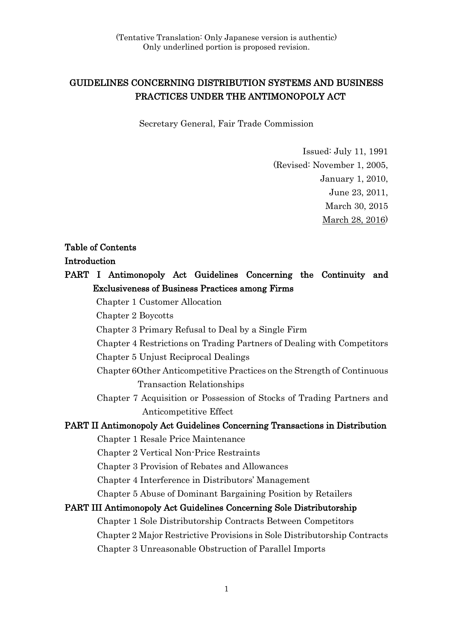# GUIDELINES CONCERNING DISTRIBUTION SYSTEMS AND BUSINESS PRACTICES UNDER THE ANTIMONOPOLY ACT

Secretary General, Fair Trade Commission

Issued: July 11, 1991 (Revised: November 1, 2005, January 1, 2010, June 23, 2011, March 30, 2015 March 28, 2016)

## Table of Contents

### **Introduction**

- PART I Antimonopoly Act Guidelines Concerning the Continuity and Exclusiveness of Business Practices among Firms
	- Chapter 1 Customer Allocation

Chapter 2 Boycotts

Chapter 3 Primary Refusal to Deal by a Single Firm

Chapter 4 Restrictions on Trading Partners of Dealing with Competitors

Chapter 5 Unjust Reciprocal Dealings

- Chapter 6Other Anticompetitive Practices on the Strength of Continuous Transaction Relationships
- Chapter 7 Acquisition or Possession of Stocks of Trading Partners and Anticompetitive Effect

## PART II Antimonopoly Act Guidelines Concerning Transactions in Distribution

Chapter 1 Resale Price Maintenance

Chapter 2 Vertical Non-Price Restraints

Chapter 3 Provision of Rebates and Allowances

Chapter 4 Interference in Distributors' Management

Chapter 5 Abuse of Dominant Bargaining Position by Retailers

## PART III Antimonopoly Act Guidelines Concerning Sole Distributorship

Chapter 1 Sole Distributorship Contracts Between Competitors Chapter 2 Major Restrictive Provisions in Sole Distributorship Contracts Chapter 3 Unreasonable Obstruction of Parallel Imports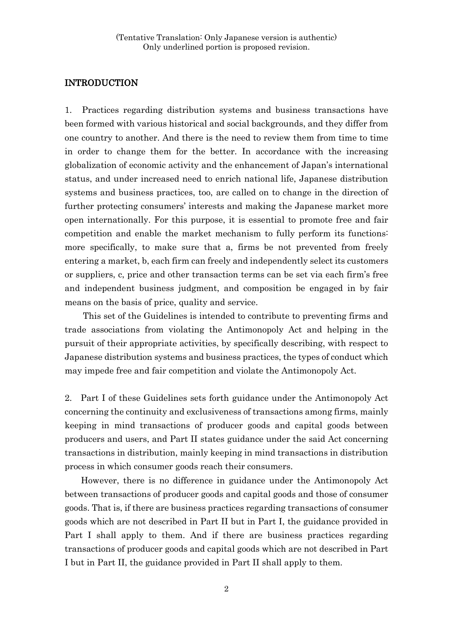### INTRODUCTION

1. Practices regarding distribution systems and business transactions have been formed with various historical and social backgrounds, and they differ from one country to another. And there is the need to review them from time to time in order to change them for the better. In accordance with the increasing globalization of economic activity and the enhancement of Japan's international status, and under increased need to enrich national life, Japanese distribution systems and business practices, too, are called on to change in the direction of further protecting consumers' interests and making the Japanese market more open internationally. For this purpose, it is essential to promote free and fair competition and enable the market mechanism to fully perform its functions: more specifically, to make sure that a, firms be not prevented from freely entering a market, b, each firm can freely and independently select its customers or suppliers, c, price and other transaction terms can be set via each firm's free and independent business judgment, and composition be engaged in by fair means on the basis of price, quality and service.

This set of the Guidelines is intended to contribute to preventing firms and trade associations from violating the Antimonopoly Act and helping in the pursuit of their appropriate activities, by specifically describing, with respect to Japanese distribution systems and business practices, the types of conduct which may impede free and fair competition and violate the Antimonopoly Act.

2. Part I of these Guidelines sets forth guidance under the Antimonopoly Act concerning the continuity and exclusiveness of transactions among firms, mainly keeping in mind transactions of producer goods and capital goods between producers and users, and Part II states guidance under the said Act concerning transactions in distribution, mainly keeping in mind transactions in distribution process in which consumer goods reach their consumers.

However, there is no difference in guidance under the Antimonopoly Act between transactions of producer goods and capital goods and those of consumer goods. That is, if there are business practices regarding transactions of consumer goods which are not described in Part II but in Part I, the guidance provided in Part I shall apply to them. And if there are business practices regarding transactions of producer goods and capital goods which are not described in Part I but in Part II, the guidance provided in Part II shall apply to them.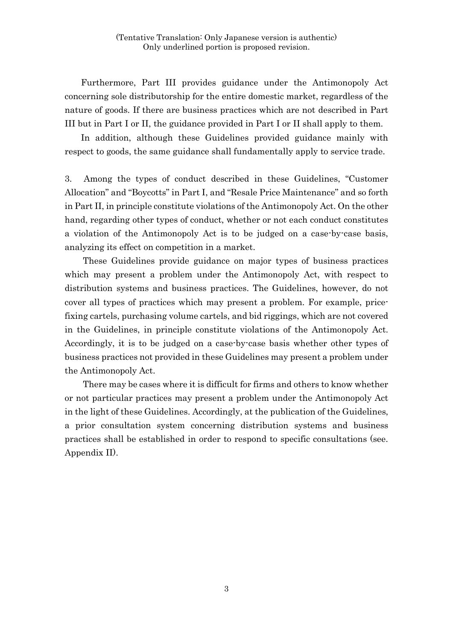Furthermore, Part III provides guidance under the Antimonopoly Act concerning sole distributorship for the entire domestic market, regardless of the nature of goods. If there are business practices which are not described in Part III but in Part I or II, the guidance provided in Part I or II shall apply to them.

In addition, although these Guidelines provided guidance mainly with respect to goods, the same guidance shall fundamentally apply to service trade.

3. Among the types of conduct described in these Guidelines, "Customer Allocation" and "Boycotts" in Part I, and "Resale Price Maintenance" and so forth in Part II, in principle constitute violations of the Antimonopoly Act. On the other hand, regarding other types of conduct, whether or not each conduct constitutes a violation of the Antimonopoly Act is to be judged on a case-by-case basis, analyzing its effect on competition in a market.

These Guidelines provide guidance on major types of business practices which may present a problem under the Antimonopoly Act, with respect to distribution systems and business practices. The Guidelines, however, do not cover all types of practices which may present a problem. For example, pricefixing cartels, purchasing volume cartels, and bid riggings, which are not covered in the Guidelines, in principle constitute violations of the Antimonopoly Act. Accordingly, it is to be judged on a case-by-case basis whether other types of business practices not provided in these Guidelines may present a problem under the Antimonopoly Act.

There may be cases where it is difficult for firms and others to know whether or not particular practices may present a problem under the Antimonopoly Act in the light of these Guidelines. Accordingly, at the publication of the Guidelines, a prior consultation system concerning distribution systems and business practices shall be established in order to respond to specific consultations (see. Appendix II).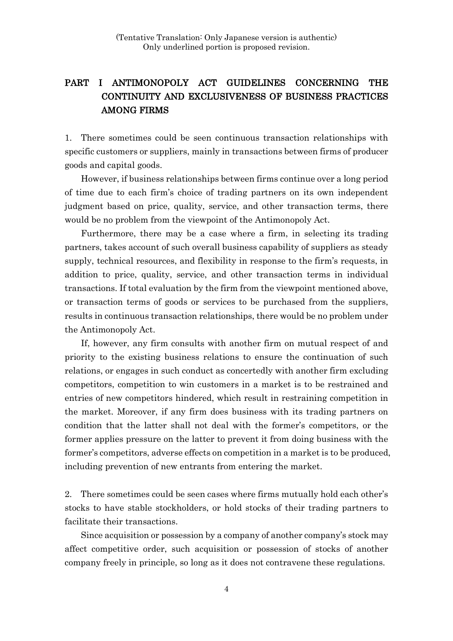# PART I ANTIMONOPOLY ACT GUIDELINES CONCERNING THE CONTINUITY AND EXCLUSIVENESS OF BUSINESS PRACTICES AMONG FIRMS

1. There sometimes could be seen continuous transaction relationships with specific customers or suppliers, mainly in transactions between firms of producer goods and capital goods.

However, if business relationships between firms continue over a long period of time due to each firm's choice of trading partners on its own independent judgment based on price, quality, service, and other transaction terms, there would be no problem from the viewpoint of the Antimonopoly Act.

Furthermore, there may be a case where a firm, in selecting its trading partners, takes account of such overall business capability of suppliers as steady supply, technical resources, and flexibility in response to the firm's requests, in addition to price, quality, service, and other transaction terms in individual transactions. If total evaluation by the firm from the viewpoint mentioned above, or transaction terms of goods or services to be purchased from the suppliers, results in continuous transaction relationships, there would be no problem under the Antimonopoly Act.

If, however, any firm consults with another firm on mutual respect of and priority to the existing business relations to ensure the continuation of such relations, or engages in such conduct as concertedly with another firm excluding competitors, competition to win customers in a market is to be restrained and entries of new competitors hindered, which result in restraining competition in the market. Moreover, if any firm does business with its trading partners on condition that the latter shall not deal with the former's competitors, or the former applies pressure on the latter to prevent it from doing business with the former's competitors, adverse effects on competition in a market is to be produced, including prevention of new entrants from entering the market.

2. There sometimes could be seen cases where firms mutually hold each other's stocks to have stable stockholders, or hold stocks of their trading partners to facilitate their transactions.

Since acquisition or possession by a company of another company's stock may affect competitive order, such acquisition or possession of stocks of another company freely in principle, so long as it does not contravene these regulations.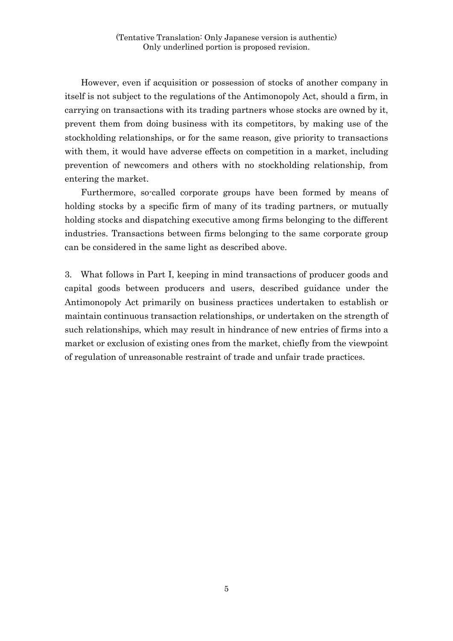However, even if acquisition or possession of stocks of another company in itself is not subject to the regulations of the Antimonopoly Act, should a firm, in carrying on transactions with its trading partners whose stocks are owned by it, prevent them from doing business with its competitors, by making use of the stockholding relationships, or for the same reason, give priority to transactions with them, it would have adverse effects on competition in a market, including prevention of newcomers and others with no stockholding relationship, from entering the market.

Furthermore, so-called corporate groups have been formed by means of holding stocks by a specific firm of many of its trading partners, or mutually holding stocks and dispatching executive among firms belonging to the different industries. Transactions between firms belonging to the same corporate group can be considered in the same light as described above.

3. What follows in Part I, keeping in mind transactions of producer goods and capital goods between producers and users, described guidance under the Antimonopoly Act primarily on business practices undertaken to establish or maintain continuous transaction relationships, or undertaken on the strength of such relationships, which may result in hindrance of new entries of firms into a market or exclusion of existing ones from the market, chiefly from the viewpoint of regulation of unreasonable restraint of trade and unfair trade practices.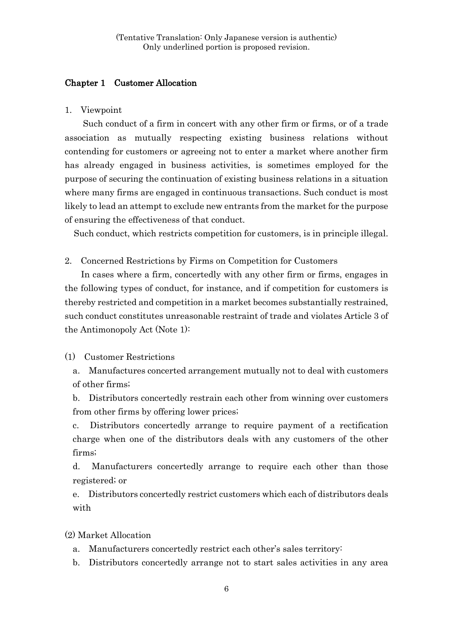## Chapter 1 Customer Allocation

1. Viewpoint

Such conduct of a firm in concert with any other firm or firms, or of a trade association as mutually respecting existing business relations without contending for customers or agreeing not to enter a market where another firm has already engaged in business activities, is sometimes employed for the purpose of securing the continuation of existing business relations in a situation where many firms are engaged in continuous transactions. Such conduct is most likely to lead an attempt to exclude new entrants from the market for the purpose of ensuring the effectiveness of that conduct.

Such conduct, which restricts competition for customers, is in principle illegal.

2. Concerned Restrictions by Firms on Competition for Customers

In cases where a firm, concertedly with any other firm or firms, engages in the following types of conduct, for instance, and if competition for customers is thereby restricted and competition in a market becomes substantially restrained, such conduct constitutes unreasonable restraint of trade and violates Article 3 of the Antimonopoly Act (Note 1):

## (1) Customer Restrictions

a. Manufactures concerted arrangement mutually not to deal with customers of other firms;

b. Distributors concertedly restrain each other from winning over customers from other firms by offering lower prices;

c. Distributors concertedly arrange to require payment of a rectification charge when one of the distributors deals with any customers of the other firms;

d. Manufacturers concertedly arrange to require each other than those registered; or

e. Distributors concertedly restrict customers which each of distributors deals with

(2) Market Allocation

- a. Manufacturers concertedly restrict each other's sales territory:
- b. Distributors concertedly arrange not to start sales activities in any area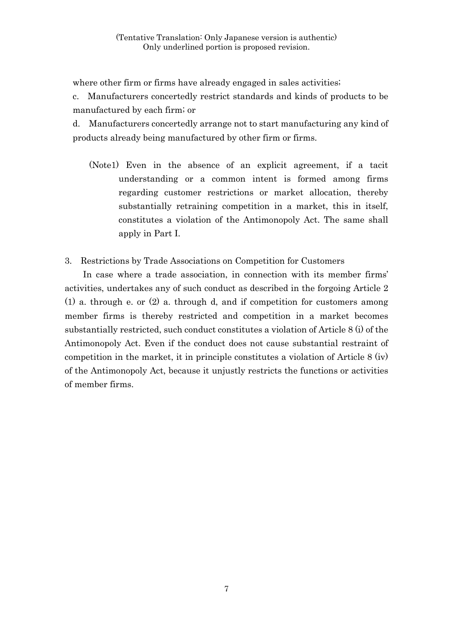where other firm or firms have already engaged in sales activities;

c. Manufacturers concertedly restrict standards and kinds of products to be manufactured by each firm; or

d. Manufacturers concertedly arrange not to start manufacturing any kind of products already being manufactured by other firm or firms.

- (Note1) Even in the absence of an explicit agreement, if a tacit understanding or a common intent is formed among firms regarding customer restrictions or market allocation, thereby substantially retraining competition in a market, this in itself, constitutes a violation of the Antimonopoly Act. The same shall apply in Part I.
- 3. Restrictions by Trade Associations on Competition for Customers

In case where a trade association, in connection with its member firms' activities, undertakes any of such conduct as described in the forgoing Article 2 (1) a. through e. or (2) a. through d, and if competition for customers among member firms is thereby restricted and competition in a market becomes substantially restricted, such conduct constitutes a violation of Article 8 (i) of the Antimonopoly Act. Even if the conduct does not cause substantial restraint of competition in the market, it in principle constitutes a violation of Article 8 (iv) of the Antimonopoly Act, because it unjustly restricts the functions or activities of member firms.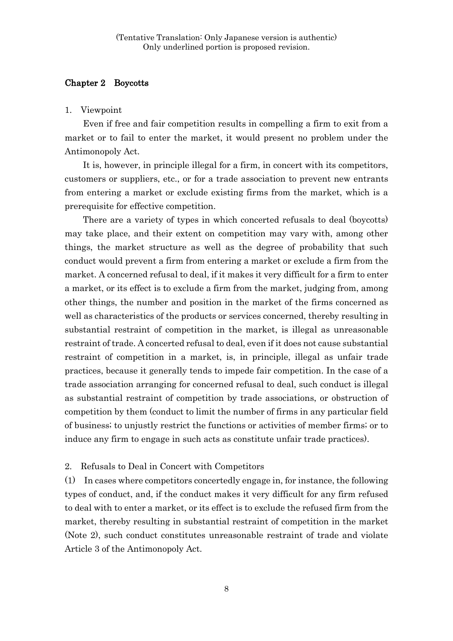### Chapter 2 Boycotts

#### 1. Viewpoint

Even if free and fair competition results in compelling a firm to exit from a market or to fail to enter the market, it would present no problem under the Antimonopoly Act.

It is, however, in principle illegal for a firm, in concert with its competitors, customers or suppliers, etc., or for a trade association to prevent new entrants from entering a market or exclude existing firms from the market, which is a prerequisite for effective competition.

There are a variety of types in which concerted refusals to deal (boycotts) may take place, and their extent on competition may vary with, among other things, the market structure as well as the degree of probability that such conduct would prevent a firm from entering a market or exclude a firm from the market. A concerned refusal to deal, if it makes it very difficult for a firm to enter a market, or its effect is to exclude a firm from the market, judging from, among other things, the number and position in the market of the firms concerned as well as characteristics of the products or services concerned, thereby resulting in substantial restraint of competition in the market, is illegal as unreasonable restraint of trade. A concerted refusal to deal, even if it does not cause substantial restraint of competition in a market, is, in principle, illegal as unfair trade practices, because it generally tends to impede fair competition. In the case of a trade association arranging for concerned refusal to deal, such conduct is illegal as substantial restraint of competition by trade associations, or obstruction of competition by them (conduct to limit the number of firms in any particular field of business; to unjustly restrict the functions or activities of member firms; or to induce any firm to engage in such acts as constitute unfair trade practices).

### 2. Refusals to Deal in Concert with Competitors

(1) In cases where competitors concertedly engage in, for instance, the following types of conduct, and, if the conduct makes it very difficult for any firm refused to deal with to enter a market, or its effect is to exclude the refused firm from the market, thereby resulting in substantial restraint of competition in the market (Note 2), such conduct constitutes unreasonable restraint of trade and violate Article 3 of the Antimonopoly Act.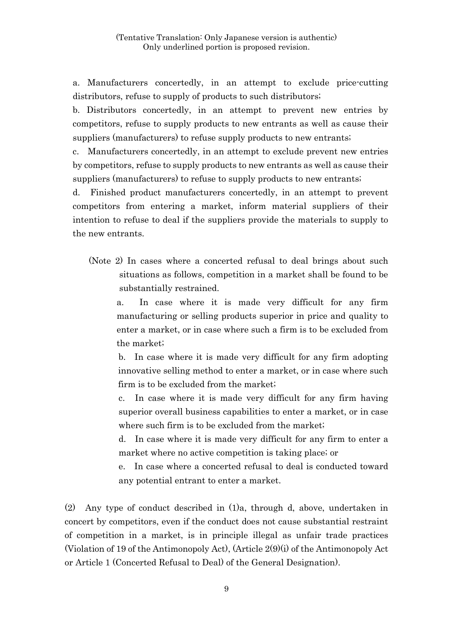a. Manufacturers concertedly, in an attempt to exclude price-cutting distributors, refuse to supply of products to such distributors;

b. Distributors concertedly, in an attempt to prevent new entries by competitors, refuse to supply products to new entrants as well as cause their suppliers (manufacturers) to refuse supply products to new entrants;

c. Manufacturers concertedly, in an attempt to exclude prevent new entries by competitors, refuse to supply products to new entrants as well as cause their suppliers (manufacturers) to refuse to supply products to new entrants;

d. Finished product manufacturers concertedly, in an attempt to prevent competitors from entering a market, inform material suppliers of their intention to refuse to deal if the suppliers provide the materials to supply to the new entrants.

(Note 2) In cases where a concerted refusal to deal brings about such situations as follows, competition in a market shall be found to be substantially restrained.

a. In case where it is made very difficult for any firm manufacturing or selling products superior in price and quality to enter a market, or in case where such a firm is to be excluded from the market;

b. In case where it is made very difficult for any firm adopting innovative selling method to enter a market, or in case where such firm is to be excluded from the market;

c. In case where it is made very difficult for any firm having superior overall business capabilities to enter a market, or in case where such firm is to be excluded from the market;

d. In case where it is made very difficult for any firm to enter a market where no active competition is taking place; or

e. In case where a concerted refusal to deal is conducted toward any potential entrant to enter a market.

(2) Any type of conduct described in (1)a, through d, above, undertaken in concert by competitors, even if the conduct does not cause substantial restraint of competition in a market, is in principle illegal as unfair trade practices (Violation of 19 of the Antimonopoly Act), (Article 2(9)(i) of the Antimonopoly Act or Article 1 (Concerted Refusal to Deal) of the General Designation).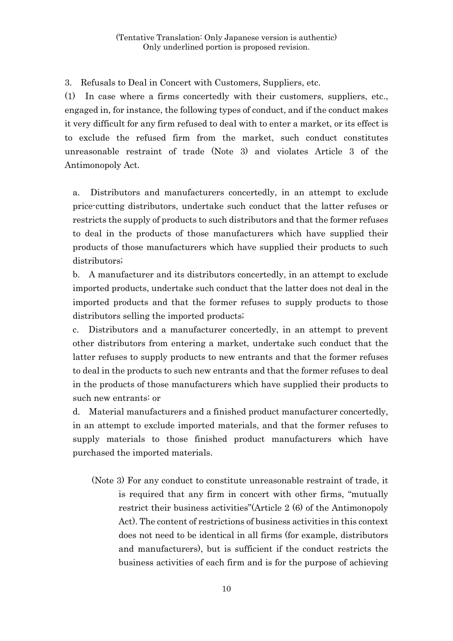3. Refusals to Deal in Concert with Customers, Suppliers, etc.

(1) In case where a firms concertedly with their customers, suppliers, etc., engaged in, for instance, the following types of conduct, and if the conduct makes it very difficult for any firm refused to deal with to enter a market, or its effect is to exclude the refused firm from the market, such conduct constitutes unreasonable restraint of trade (Note 3) and violates Article 3 of the Antimonopoly Act.

a. Distributors and manufacturers concertedly, in an attempt to exclude price-cutting distributors, undertake such conduct that the latter refuses or restricts the supply of products to such distributors and that the former refuses to deal in the products of those manufacturers which have supplied their products of those manufacturers which have supplied their products to such distributors;

b. A manufacturer and its distributors concertedly, in an attempt to exclude imported products, undertake such conduct that the latter does not deal in the imported products and that the former refuses to supply products to those distributors selling the imported products;

c. Distributors and a manufacturer concertedly, in an attempt to prevent other distributors from entering a market, undertake such conduct that the latter refuses to supply products to new entrants and that the former refuses to deal in the products to such new entrants and that the former refuses to deal in the products of those manufacturers which have supplied their products to such new entrants: or

d. Material manufacturers and a finished product manufacturer concertedly, in an attempt to exclude imported materials, and that the former refuses to supply materials to those finished product manufacturers which have purchased the imported materials.

(Note 3) For any conduct to constitute unreasonable restraint of trade, it is required that any firm in concert with other firms, "mutually restrict their business activities"(Article 2 (6) of the Antimonopoly Act). The content of restrictions of business activities in this context does not need to be identical in all firms (for example, distributors and manufacturers), but is sufficient if the conduct restricts the business activities of each firm and is for the purpose of achieving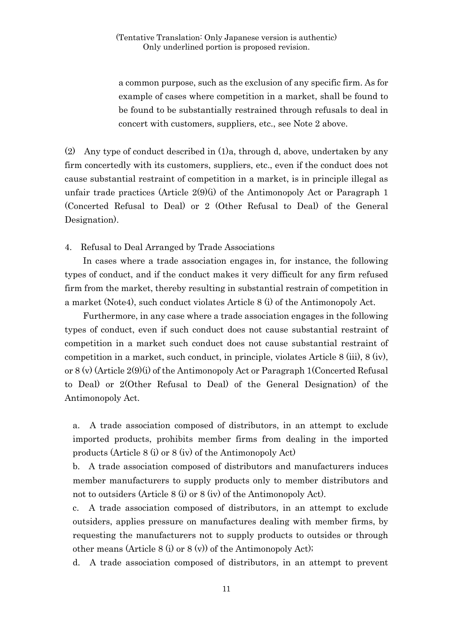a common purpose, such as the exclusion of any specific firm. As for example of cases where competition in a market, shall be found to be found to be substantially restrained through refusals to deal in concert with customers, suppliers, etc., see Note 2 above.

(2) Any type of conduct described in (1)a, through d, above, undertaken by any firm concertedly with its customers, suppliers, etc., even if the conduct does not cause substantial restraint of competition in a market, is in principle illegal as unfair trade practices (Article  $2(9)(i)$  of the Antimonopoly Act or Paragraph 1 (Concerted Refusal to Deal) or 2 (Other Refusal to Deal) of the General Designation).

4. Refusal to Deal Arranged by Trade Associations

In cases where a trade association engages in, for instance, the following types of conduct, and if the conduct makes it very difficult for any firm refused firm from the market, thereby resulting in substantial restrain of competition in a market (Note4), such conduct violates Article 8 (i) of the Antimonopoly Act.

Furthermore, in any case where a trade association engages in the following types of conduct, even if such conduct does not cause substantial restraint of competition in a market such conduct does not cause substantial restraint of competition in a market, such conduct, in principle, violates Article 8 (iii), 8 (iv), or 8 (v) (Article 2(9)(i) of the Antimonopoly Act or Paragraph 1(Concerted Refusal to Deal) or 2(Other Refusal to Deal) of the General Designation) of the Antimonopoly Act.

a. A trade association composed of distributors, in an attempt to exclude imported products, prohibits member firms from dealing in the imported products (Article 8 (i) or 8 (iv) of the Antimonopoly Act)

b. A trade association composed of distributors and manufacturers induces member manufacturers to supply products only to member distributors and not to outsiders (Article 8 (i) or 8 (iv) of the Antimonopoly Act).

c. A trade association composed of distributors, in an attempt to exclude outsiders, applies pressure on manufactures dealing with member firms, by requesting the manufacturers not to supply products to outsides or through other means (Article 8 (i) or 8 (v)) of the Antimonopoly Act);

d. A trade association composed of distributors, in an attempt to prevent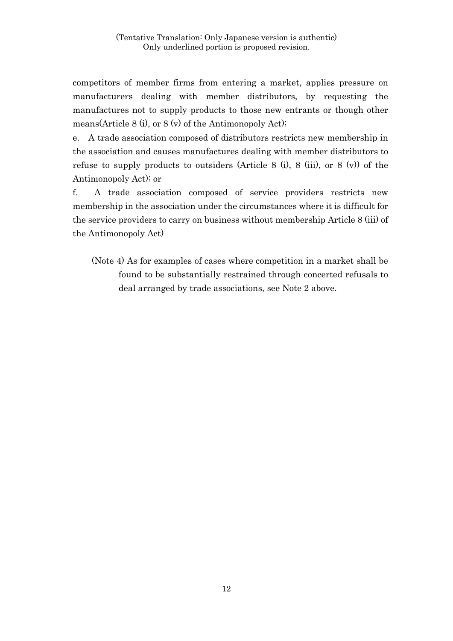competitors of member firms from entering a market, applies pressure on manufacturers dealing with member distributors, by requesting the manufactures not to supply products to those new entrants or though other means(Article 8 (i), or 8 (v) of the Antimonopoly Act);

e. A trade association composed of distributors restricts new membership in the association and causes manufactures dealing with member distributors to refuse to supply products to outsiders (Article  $8$  (i),  $8$  (iii), or  $8$  (v)) of the Antimonopoly Act); or

f. A trade association composed of service providers restricts new membership in the association under the circumstances where it is difficult for the service providers to carry on business without membership Article 8 (iii) of the Antimonopoly Act)

(Note 4) As for examples of cases where competition in a market shall be found to be substantially restrained through concerted refusals to deal arranged by trade associations, see Note 2 above.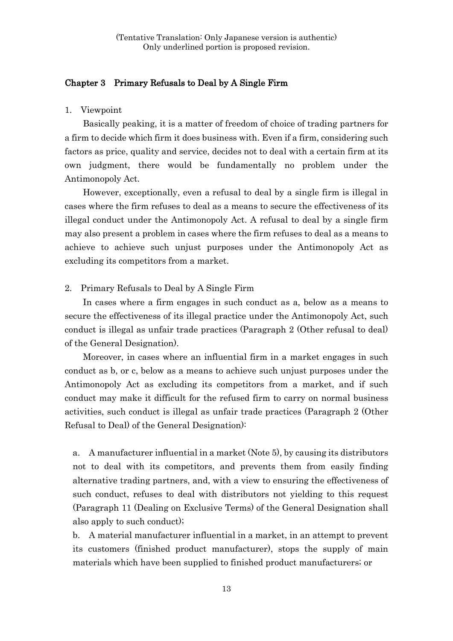## Chapter 3 Primary Refusals to Deal by A Single Firm

#### 1. Viewpoint

Basically peaking, it is a matter of freedom of choice of trading partners for a firm to decide which firm it does business with. Even if a firm, considering such factors as price, quality and service, decides not to deal with a certain firm at its own judgment, there would be fundamentally no problem under the Antimonopoly Act.

However, exceptionally, even a refusal to deal by a single firm is illegal in cases where the firm refuses to deal as a means to secure the effectiveness of its illegal conduct under the Antimonopoly Act. A refusal to deal by a single firm may also present a problem in cases where the firm refuses to deal as a means to achieve to achieve such unjust purposes under the Antimonopoly Act as excluding its competitors from a market.

#### 2. Primary Refusals to Deal by A Single Firm

In cases where a firm engages in such conduct as a, below as a means to secure the effectiveness of its illegal practice under the Antimonopoly Act, such conduct is illegal as unfair trade practices (Paragraph 2 (Other refusal to deal) of the General Designation).

Moreover, in cases where an influential firm in a market engages in such conduct as b, or c, below as a means to achieve such unjust purposes under the Antimonopoly Act as excluding its competitors from a market, and if such conduct may make it difficult for the refused firm to carry on normal business activities, such conduct is illegal as unfair trade practices (Paragraph 2 (Other Refusal to Deal) of the General Designation):

a. A manufacturer influential in a market (Note 5), by causing its distributors not to deal with its competitors, and prevents them from easily finding alternative trading partners, and, with a view to ensuring the effectiveness of such conduct, refuses to deal with distributors not yielding to this request (Paragraph 11 (Dealing on Exclusive Terms) of the General Designation shall also apply to such conduct);

b. A material manufacturer influential in a market, in an attempt to prevent its customers (finished product manufacturer), stops the supply of main materials which have been supplied to finished product manufacturers; or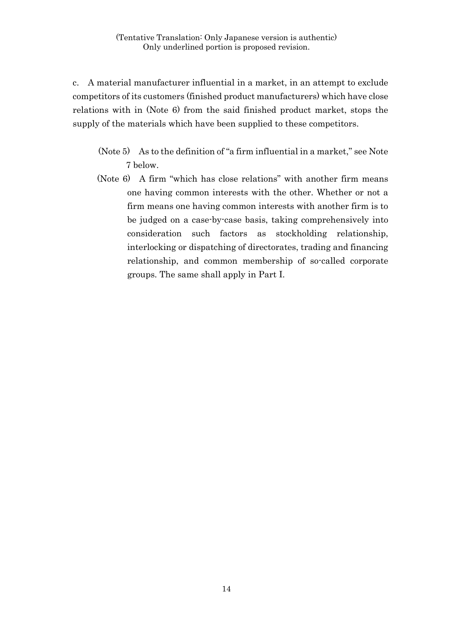c. A material manufacturer influential in a market, in an attempt to exclude competitors of its customers (finished product manufacturers) which have close relations with in (Note 6) from the said finished product market, stops the supply of the materials which have been supplied to these competitors.

- (Note 5) As to the definition of "a firm influential in a market," see Note 7 below.
- (Note 6) A firm "which has close relations" with another firm means one having common interests with the other. Whether or not a firm means one having common interests with another firm is to be judged on a case-by-case basis, taking comprehensively into consideration such factors as stockholding relationship, interlocking or dispatching of directorates, trading and financing relationship, and common membership of so-called corporate groups. The same shall apply in Part I.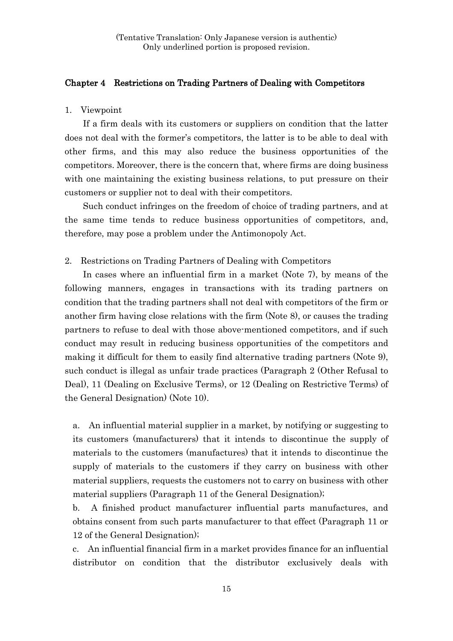#### Chapter 4 Restrictions on Trading Partners of Dealing with Competitors

#### 1. Viewpoint

If a firm deals with its customers or suppliers on condition that the latter does not deal with the former's competitors, the latter is to be able to deal with other firms, and this may also reduce the business opportunities of the competitors. Moreover, there is the concern that, where firms are doing business with one maintaining the existing business relations, to put pressure on their customers or supplier not to deal with their competitors.

Such conduct infringes on the freedom of choice of trading partners, and at the same time tends to reduce business opportunities of competitors, and, therefore, may pose a problem under the Antimonopoly Act.

#### 2. Restrictions on Trading Partners of Dealing with Competitors

In cases where an influential firm in a market (Note 7), by means of the following manners, engages in transactions with its trading partners on condition that the trading partners shall not deal with competitors of the firm or another firm having close relations with the firm (Note 8), or causes the trading partners to refuse to deal with those above-mentioned competitors, and if such conduct may result in reducing business opportunities of the competitors and making it difficult for them to easily find alternative trading partners (Note 9), such conduct is illegal as unfair trade practices (Paragraph 2 (Other Refusal to Deal), 11 (Dealing on Exclusive Terms), or 12 (Dealing on Restrictive Terms) of the General Designation) (Note 10).

a. An influential material supplier in a market, by notifying or suggesting to its customers (manufacturers) that it intends to discontinue the supply of materials to the customers (manufactures) that it intends to discontinue the supply of materials to the customers if they carry on business with other material suppliers, requests the customers not to carry on business with other material suppliers (Paragraph 11 of the General Designation);

b. A finished product manufacturer influential parts manufactures, and obtains consent from such parts manufacturer to that effect (Paragraph 11 or 12 of the General Designation);

c. An influential financial firm in a market provides finance for an influential distributor on condition that the distributor exclusively deals with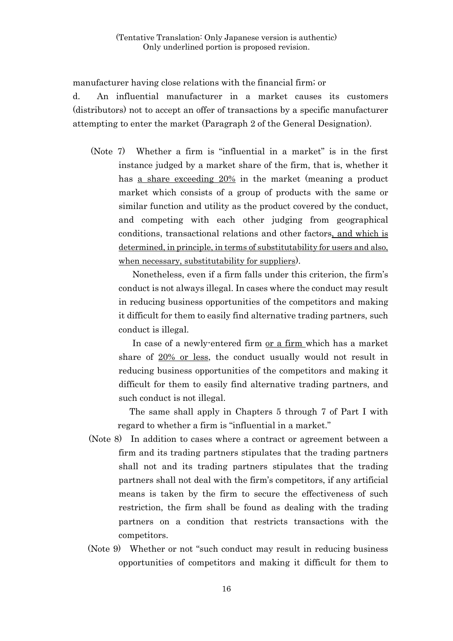manufacturer having close relations with the financial firm; or

d. An influential manufacturer in a market causes its customers (distributors) not to accept an offer of transactions by a specific manufacturer attempting to enter the market (Paragraph 2 of the General Designation).

(Note 7) Whether a firm is "influential in a market" is in the first instance judged by a market share of the firm, that is, whether it has a share exceeding 20% in the market (meaning a product market which consists of a group of products with the same or similar function and utility as the product covered by the conduct, and competing with each other judging from geographical conditions, transactional relations and other factors, and which is determined, in principle, in terms of substitutability for users and also, when necessary, substitutability for suppliers).

Nonetheless, even if a firm falls under this criterion, the firm's conduct is not always illegal. In cases where the conduct may result in reducing business opportunities of the competitors and making it difficult for them to easily find alternative trading partners, such conduct is illegal.

In case of a newly-entered firm or a firm which has a market share of 20% or less, the conduct usually would not result in reducing business opportunities of the competitors and making it difficult for them to easily find alternative trading partners, and such conduct is not illegal.

The same shall apply in Chapters 5 through 7 of Part I with regard to whether a firm is "influential in a market."

- (Note 8) In addition to cases where a contract or agreement between a firm and its trading partners stipulates that the trading partners shall not and its trading partners stipulates that the trading partners shall not deal with the firm's competitors, if any artificial means is taken by the firm to secure the effectiveness of such restriction, the firm shall be found as dealing with the trading partners on a condition that restricts transactions with the competitors.
- (Note 9) Whether or not "such conduct may result in reducing business opportunities of competitors and making it difficult for them to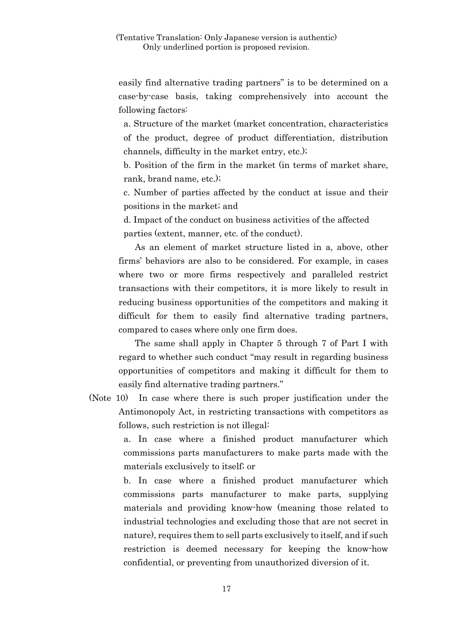easily find alternative trading partners" is to be determined on a case-by-case basis, taking comprehensively into account the following factors:

a. Structure of the market (market concentration, characteristics of the product, degree of product differentiation, distribution channels, difficulty in the market entry, etc.);

b. Position of the firm in the market (in terms of market share, rank, brand name, etc.);

c. Number of parties affected by the conduct at issue and their positions in the market; and

d. Impact of the conduct on business activities of the affected parties (extent, manner, etc. of the conduct).

As an element of market structure listed in a, above, other firms' behaviors are also to be considered. For example, in cases where two or more firms respectively and paralleled restrict transactions with their competitors, it is more likely to result in reducing business opportunities of the competitors and making it difficult for them to easily find alternative trading partners, compared to cases where only one firm does.

The same shall apply in Chapter 5 through 7 of Part I with regard to whether such conduct "may result in regarding business opportunities of competitors and making it difficult for them to easily find alternative trading partners."

(Note 10) In case where there is such proper justification under the Antimonopoly Act, in restricting transactions with competitors as follows, such restriction is not illegal:

> a. In case where a finished product manufacturer which commissions parts manufacturers to make parts made with the materials exclusively to itself; or

> b. In case where a finished product manufacturer which commissions parts manufacturer to make parts, supplying materials and providing know-how (meaning those related to industrial technologies and excluding those that are not secret in nature), requires them to sell parts exclusively to itself, and if such restriction is deemed necessary for keeping the know-how confidential, or preventing from unauthorized diversion of it.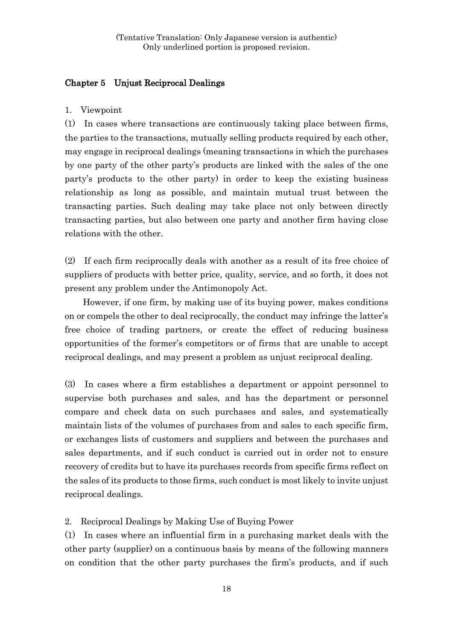## Chapter 5 Unjust Reciprocal Dealings

#### 1. Viewpoint

(1) In cases where transactions are continuously taking place between firms, the parties to the transactions, mutually selling products required by each other, may engage in reciprocal dealings (meaning transactions in which the purchases by one party of the other party's products are linked with the sales of the one party's products to the other party) in order to keep the existing business relationship as long as possible, and maintain mutual trust between the transacting parties. Such dealing may take place not only between directly transacting parties, but also between one party and another firm having close relations with the other.

(2) If each firm reciprocally deals with another as a result of its free choice of suppliers of products with better price, quality, service, and so forth, it does not present any problem under the Antimonopoly Act.

However, if one firm, by making use of its buying power, makes conditions on or compels the other to deal reciprocally, the conduct may infringe the latter's free choice of trading partners, or create the effect of reducing business opportunities of the former's competitors or of firms that are unable to accept reciprocal dealings, and may present a problem as unjust reciprocal dealing.

(3) In cases where a firm establishes a department or appoint personnel to supervise both purchases and sales, and has the department or personnel compare and check data on such purchases and sales, and systematically maintain lists of the volumes of purchases from and sales to each specific firm, or exchanges lists of customers and suppliers and between the purchases and sales departments, and if such conduct is carried out in order not to ensure recovery of credits but to have its purchases records from specific firms reflect on the sales of its products to those firms, such conduct is most likely to invite unjust reciprocal dealings.

2. Reciprocal Dealings by Making Use of Buying Power

(1) In cases where an influential firm in a purchasing market deals with the other party (supplier) on a continuous basis by means of the following manners on condition that the other party purchases the firm's products, and if such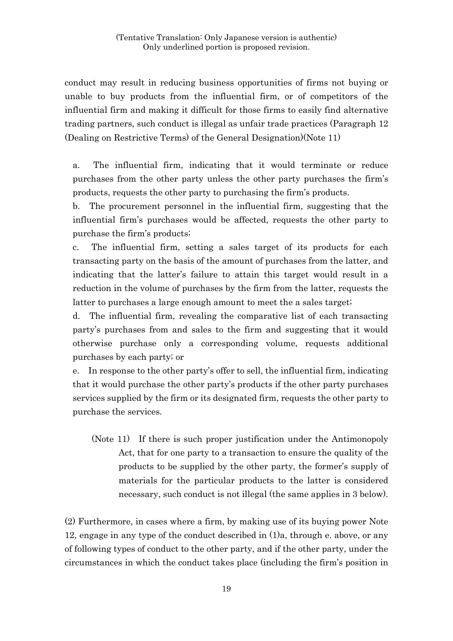conduct may result in reducing business opportunities of firms not buying or unable to buy products from the influential firm, or of competitors of the influential firm and making it difficult for those firms to easily find alternative trading partners, such conduct is illegal as unfair trade practices (Paragraph 12 (Dealing on Restrictive Terms) of the General Designation)(Note 11)

a. The influential firm, indicating that it would terminate or reduce purchases from the other party unless the other party purchases the firm's products, requests the other party to purchasing the firm's products.

b. The procurement personnel in the influential firm, suggesting that the influential firm's purchases would be affected, requests the other party to purchase the firm's products;

c. The influential firm, setting a sales target of its products for each transacting party on the basis of the amount of purchases from the latter, and indicating that the latter's failure to attain this target would result in a reduction in the volume of purchases by the firm from the latter, requests the latter to purchases a large enough amount to meet the a sales target;

d. The influential firm, revealing the comparative list of each transacting party's purchases from and sales to the firm and suggesting that it would otherwise purchase only a corresponding volume, requests additional purchases by each party; or

e. In response to the other party's offer to sell, the influential firm, indicating that it would purchase the other party's products if the other party purchases services supplied by the firm or its designated firm, requests the other party to purchase the services.

(Note 11) If there is such proper justification under the Antimonopoly Act, that for one party to a transaction to ensure the quality of the products to be supplied by the other party, the former's supply of materials for the particular products to the latter is considered necessary, such conduct is not illegal (the same applies in 3 below).

(2) Furthermore, in cases where a firm, by making use of its buying power Note 12, engage in any type of the conduct described in (1)a, through e. above, or any of following types of conduct to the other party, and if the other party, under the circumstances in which the conduct takes place (including the firm's position in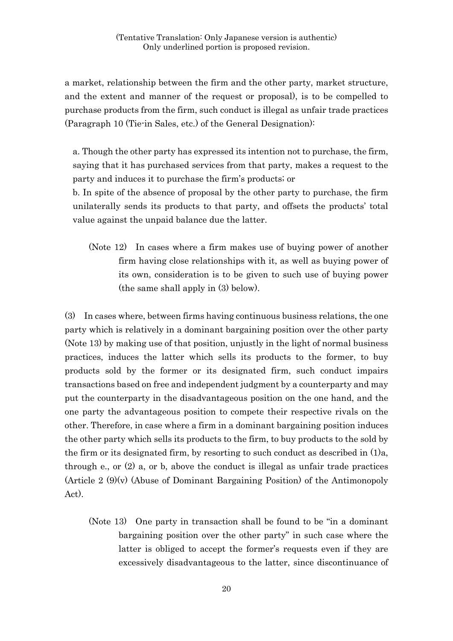a market, relationship between the firm and the other party, market structure, and the extent and manner of the request or proposal), is to be compelled to purchase products from the firm, such conduct is illegal as unfair trade practices (Paragraph 10 (Tie-in Sales, etc.) of the General Designation):

a. Though the other party has expressed its intention not to purchase, the firm, saying that it has purchased services from that party, makes a request to the party and induces it to purchase the firm's products; or

b. In spite of the absence of proposal by the other party to purchase, the firm unilaterally sends its products to that party, and offsets the products' total value against the unpaid balance due the latter.

(Note 12) In cases where a firm makes use of buying power of another firm having close relationships with it, as well as buying power of its own, consideration is to be given to such use of buying power (the same shall apply in (3) below).

(3) In cases where, between firms having continuous business relations, the one party which is relatively in a dominant bargaining position over the other party (Note 13) by making use of that position, unjustly in the light of normal business practices, induces the latter which sells its products to the former, to buy products sold by the former or its designated firm, such conduct impairs transactions based on free and independent judgment by a counterparty and may put the counterparty in the disadvantageous position on the one hand, and the one party the advantageous position to compete their respective rivals on the other. Therefore, in case where a firm in a dominant bargaining position induces the other party which sells its products to the firm, to buy products to the sold by the firm or its designated firm, by resorting to such conduct as described in (1)a, through e., or  $(2)$  a, or b, above the conduct is illegal as unfair trade practices (Article 2  $(9)(v)$  (Abuse of Dominant Bargaining Position) of the Antimonopoly Act).

(Note 13) One party in transaction shall be found to be "in a dominant bargaining position over the other party" in such case where the latter is obliged to accept the former's requests even if they are excessively disadvantageous to the latter, since discontinuance of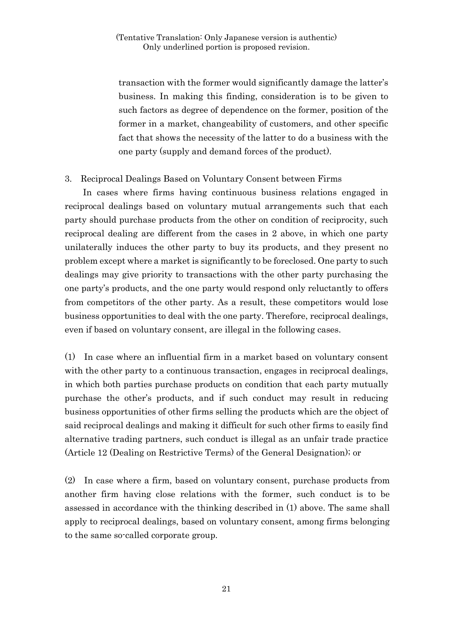transaction with the former would significantly damage the latter's business. In making this finding, consideration is to be given to such factors as degree of dependence on the former, position of the former in a market, changeability of customers, and other specific fact that shows the necessity of the latter to do a business with the one party (supply and demand forces of the product).

#### 3. Reciprocal Dealings Based on Voluntary Consent between Firms

In cases where firms having continuous business relations engaged in reciprocal dealings based on voluntary mutual arrangements such that each party should purchase products from the other on condition of reciprocity, such reciprocal dealing are different from the cases in 2 above, in which one party unilaterally induces the other party to buy its products, and they present no problem except where a market is significantly to be foreclosed. One party to such dealings may give priority to transactions with the other party purchasing the one party's products, and the one party would respond only reluctantly to offers from competitors of the other party. As a result, these competitors would lose business opportunities to deal with the one party. Therefore, reciprocal dealings, even if based on voluntary consent, are illegal in the following cases.

(1) In case where an influential firm in a market based on voluntary consent with the other party to a continuous transaction, engages in reciprocal dealings, in which both parties purchase products on condition that each party mutually purchase the other's products, and if such conduct may result in reducing business opportunities of other firms selling the products which are the object of said reciprocal dealings and making it difficult for such other firms to easily find alternative trading partners, such conduct is illegal as an unfair trade practice (Article 12 (Dealing on Restrictive Terms) of the General Designation); or

(2) In case where a firm, based on voluntary consent, purchase products from another firm having close relations with the former, such conduct is to be assessed in accordance with the thinking described in (1) above. The same shall apply to reciprocal dealings, based on voluntary consent, among firms belonging to the same so-called corporate group.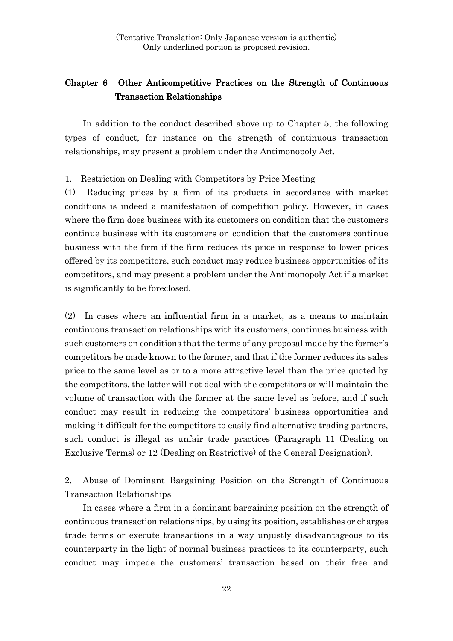# Chapter 6 Other Anticompetitive Practices on the Strength of Continuous Transaction Relationships

In addition to the conduct described above up to Chapter 5, the following types of conduct, for instance on the strength of continuous transaction relationships, may present a problem under the Antimonopoly Act.

1. Restriction on Dealing with Competitors by Price Meeting

(1) Reducing prices by a firm of its products in accordance with market conditions is indeed a manifestation of competition policy. However, in cases where the firm does business with its customers on condition that the customers continue business with its customers on condition that the customers continue business with the firm if the firm reduces its price in response to lower prices offered by its competitors, such conduct may reduce business opportunities of its competitors, and may present a problem under the Antimonopoly Act if a market is significantly to be foreclosed.

(2) In cases where an influential firm in a market, as a means to maintain continuous transaction relationships with its customers, continues business with such customers on conditions that the terms of any proposal made by the former's competitors be made known to the former, and that if the former reduces its sales price to the same level as or to a more attractive level than the price quoted by the competitors, the latter will not deal with the competitors or will maintain the volume of transaction with the former at the same level as before, and if such conduct may result in reducing the competitors' business opportunities and making it difficult for the competitors to easily find alternative trading partners, such conduct is illegal as unfair trade practices (Paragraph 11 (Dealing on Exclusive Terms) or 12 (Dealing on Restrictive) of the General Designation).

2. Abuse of Dominant Bargaining Position on the Strength of Continuous Transaction Relationships

In cases where a firm in a dominant bargaining position on the strength of continuous transaction relationships, by using its position, establishes or charges trade terms or execute transactions in a way unjustly disadvantageous to its counterparty in the light of normal business practices to its counterparty, such conduct may impede the customers' transaction based on their free and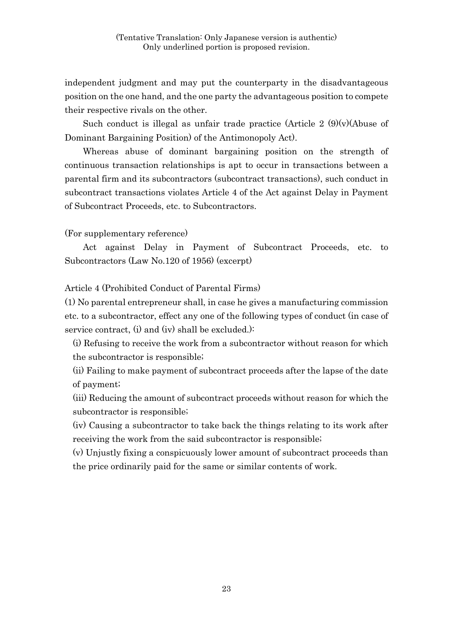independent judgment and may put the counterparty in the disadvantageous position on the one hand, and the one party the advantageous position to compete their respective rivals on the other.

Such conduct is illegal as unfair trade practice (Article  $2 \left( 9 \right)$ (y)(Abuse of Dominant Bargaining Position) of the Antimonopoly Act).

Whereas abuse of dominant bargaining position on the strength of continuous transaction relationships is apt to occur in transactions between a parental firm and its subcontractors (subcontract transactions), such conduct in subcontract transactions violates Article 4 of the Act against Delay in Payment of Subcontract Proceeds, etc. to Subcontractors.

(For supplementary reference)

Act against Delay in Payment of Subcontract Proceeds, etc. to Subcontractors (Law No.120 of 1956) (excerpt)

Article 4 (Prohibited Conduct of Parental Firms)

(1) No parental entrepreneur shall, in case he gives a manufacturing commission etc. to a subcontractor, effect any one of the following types of conduct (in case of service contract, (i) and (iv) shall be excluded.):

(i) Refusing to receive the work from a subcontractor without reason for which the subcontractor is responsible;

(ii) Failing to make payment of subcontract proceeds after the lapse of the date of payment;

(iii) Reducing the amount of subcontract proceeds without reason for which the subcontractor is responsible;

(iv) Causing a subcontractor to take back the things relating to its work after receiving the work from the said subcontractor is responsible;

(v) Unjustly fixing a conspicuously lower amount of subcontract proceeds than the price ordinarily paid for the same or similar contents of work.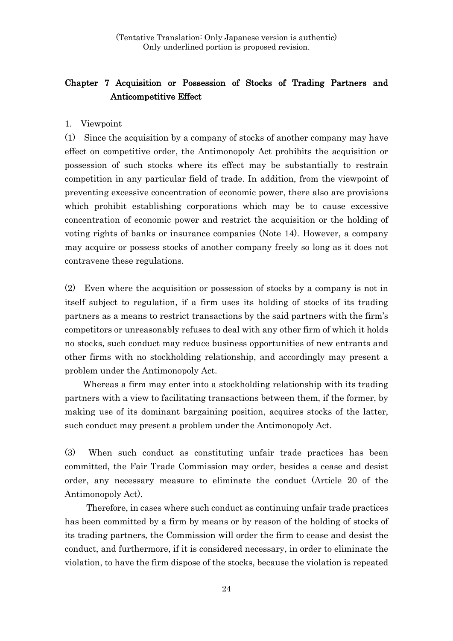# Chapter 7 Acquisition or Possession of Stocks of Trading Partners and Anticompetitive Effect

### 1. Viewpoint

(1) Since the acquisition by a company of stocks of another company may have effect on competitive order, the Antimonopoly Act prohibits the acquisition or possession of such stocks where its effect may be substantially to restrain competition in any particular field of trade. In addition, from the viewpoint of preventing excessive concentration of economic power, there also are provisions which prohibit establishing corporations which may be to cause excessive concentration of economic power and restrict the acquisition or the holding of voting rights of banks or insurance companies (Note 14). However, a company may acquire or possess stocks of another company freely so long as it does not contravene these regulations.

(2) Even where the acquisition or possession of stocks by a company is not in itself subject to regulation, if a firm uses its holding of stocks of its trading partners as a means to restrict transactions by the said partners with the firm's competitors or unreasonably refuses to deal with any other firm of which it holds no stocks, such conduct may reduce business opportunities of new entrants and other firms with no stockholding relationship, and accordingly may present a problem under the Antimonopoly Act.

Whereas a firm may enter into a stockholding relationship with its trading partners with a view to facilitating transactions between them, if the former, by making use of its dominant bargaining position, acquires stocks of the latter, such conduct may present a problem under the Antimonopoly Act.

(3) When such conduct as constituting unfair trade practices has been committed, the Fair Trade Commission may order, besides a cease and desist order, any necessary measure to eliminate the conduct (Article 20 of the Antimonopoly Act).

Therefore, in cases where such conduct as continuing unfair trade practices has been committed by a firm by means or by reason of the holding of stocks of its trading partners, the Commission will order the firm to cease and desist the conduct, and furthermore, if it is considered necessary, in order to eliminate the violation, to have the firm dispose of the stocks, because the violation is repeated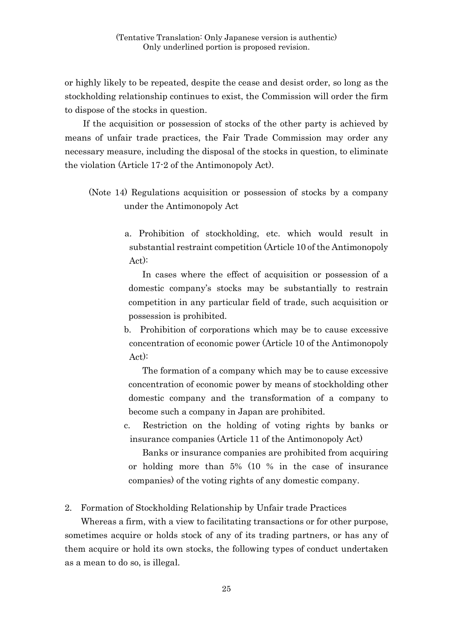or highly likely to be repeated, despite the cease and desist order, so long as the stockholding relationship continues to exist, the Commission will order the firm to dispose of the stocks in question.

If the acquisition or possession of stocks of the other party is achieved by means of unfair trade practices, the Fair Trade Commission may order any necessary measure, including the disposal of the stocks in question, to eliminate the violation (Article 17-2 of the Antimonopoly Act).

(Note 14) Regulations acquisition or possession of stocks by a company under the Antimonopoly Act

> a. Prohibition of stockholding, etc. which would result in substantial restraint competition (Article 10 of the Antimonopoly Act):

In cases where the effect of acquisition or possession of a domestic company's stocks may be substantially to restrain competition in any particular field of trade, such acquisition or possession is prohibited.

b. Prohibition of corporations which may be to cause excessive concentration of economic power (Article 10 of the Antimonopoly Act):

The formation of a company which may be to cause excessive concentration of economic power by means of stockholding other domestic company and the transformation of a company to become such a company in Japan are prohibited.

c. Restriction on the holding of voting rights by banks or insurance companies (Article 11 of the Antimonopoly Act)

Banks or insurance companies are prohibited from acquiring or holding more than 5% (10 % in the case of insurance companies) of the voting rights of any domestic company.

2. Formation of Stockholding Relationship by Unfair trade Practices

Whereas a firm, with a view to facilitating transactions or for other purpose, sometimes acquire or holds stock of any of its trading partners, or has any of them acquire or hold its own stocks, the following types of conduct undertaken as a mean to do so, is illegal.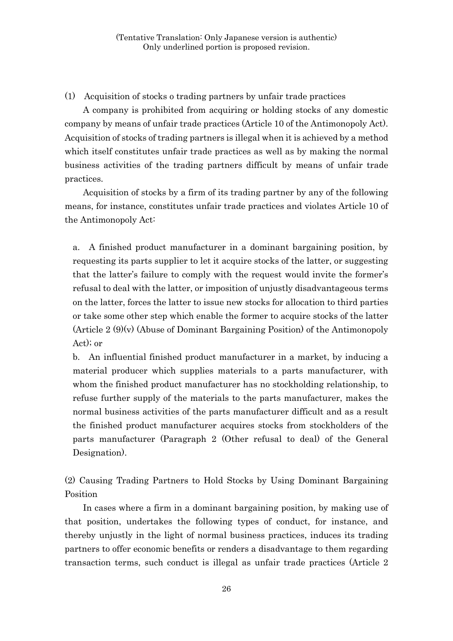## (1) Acquisition of stocks o trading partners by unfair trade practices

A company is prohibited from acquiring or holding stocks of any domestic company by means of unfair trade practices (Article 10 of the Antimonopoly Act). Acquisition of stocks of trading partners is illegal when it is achieved by a method which itself constitutes unfair trade practices as well as by making the normal business activities of the trading partners difficult by means of unfair trade practices.

Acquisition of stocks by a firm of its trading partner by any of the following means, for instance, constitutes unfair trade practices and violates Article 10 of the Antimonopoly Act:

a. A finished product manufacturer in a dominant bargaining position, by requesting its parts supplier to let it acquire stocks of the latter, or suggesting that the latter's failure to comply with the request would invite the former's refusal to deal with the latter, or imposition of unjustly disadvantageous terms on the latter, forces the latter to issue new stocks for allocation to third parties or take some other step which enable the former to acquire stocks of the latter (Article 2 (9)(v) (Abuse of Dominant Bargaining Position) of the Antimonopoly Act); or

b. An influential finished product manufacturer in a market, by inducing a material producer which supplies materials to a parts manufacturer, with whom the finished product manufacturer has no stockholding relationship, to refuse further supply of the materials to the parts manufacturer, makes the normal business activities of the parts manufacturer difficult and as a result the finished product manufacturer acquires stocks from stockholders of the parts manufacturer (Paragraph 2 (Other refusal to deal) of the General Designation).

(2) Causing Trading Partners to Hold Stocks by Using Dominant Bargaining Position

In cases where a firm in a dominant bargaining position, by making use of that position, undertakes the following types of conduct, for instance, and thereby unjustly in the light of normal business practices, induces its trading partners to offer economic benefits or renders a disadvantage to them regarding transaction terms, such conduct is illegal as unfair trade practices (Article 2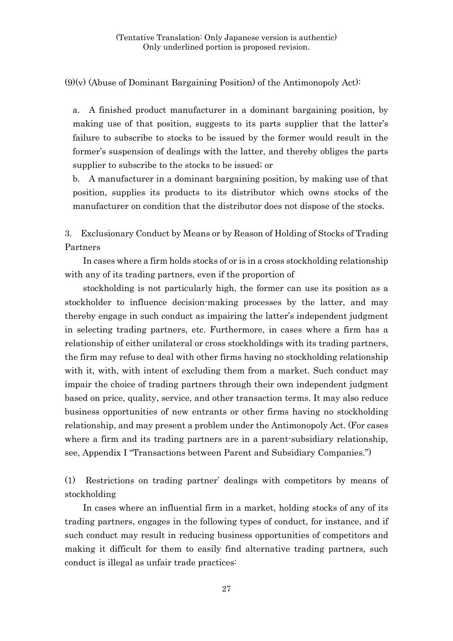$(9)(v)$  (Abuse of Dominant Bargaining Position) of the Antimonopoly Act):

a. A finished product manufacturer in a dominant bargaining position, by making use of that position, suggests to its parts supplier that the latter's failure to subscribe to stocks to be issued by the former would result in the former's suspension of dealings with the latter, and thereby obliges the parts supplier to subscribe to the stocks to be issued; or

b. A manufacturer in a dominant bargaining position, by making use of that position, supplies its products to its distributor which owns stocks of the manufacturer on condition that the distributor does not dispose of the stocks.

3. Exclusionary Conduct by Means or by Reason of Holding of Stocks of Trading Partners

In cases where a firm holds stocks of or is in a cross stockholding relationship with any of its trading partners, even if the proportion of

stockholding is not particularly high, the former can use its position as a stockholder to influence decision-making processes by the latter, and may thereby engage in such conduct as impairing the latter's independent judgment in selecting trading partners, etc. Furthermore, in cases where a firm has a relationship of either unilateral or cross stockholdings with its trading partners, the firm may refuse to deal with other firms having no stockholding relationship with it, with, with intent of excluding them from a market. Such conduct may impair the choice of trading partners through their own independent judgment based on price, quality, service, and other transaction terms. It may also reduce business opportunities of new entrants or other firms having no stockholding relationship, and may present a problem under the Antimonopoly Act. (For cases where a firm and its trading partners are in a parent-subsidiary relationship, see, Appendix I "Transactions between Parent and Subsidiary Companies.")

(1) Restrictions on trading partner' dealings with competitors by means of stockholding

In cases where an influential firm in a market, holding stocks of any of its trading partners, engages in the following types of conduct, for instance, and if such conduct may result in reducing business opportunities of competitors and making it difficult for them to easily find alternative trading partners, such conduct is illegal as unfair trade practices: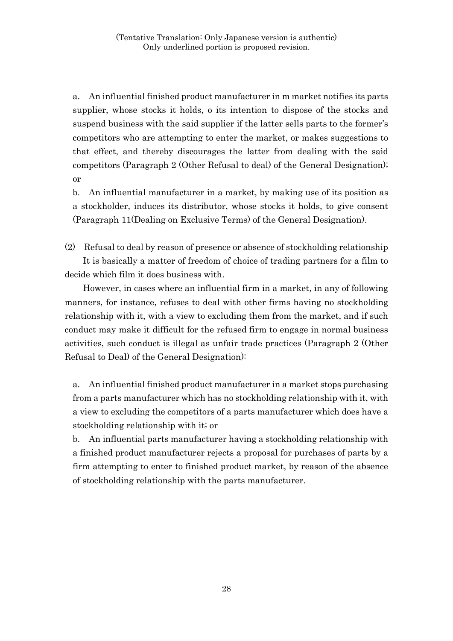a. An influential finished product manufacturer in m market notifies its parts supplier, whose stocks it holds, o its intention to dispose of the stocks and suspend business with the said supplier if the latter sells parts to the former's competitors who are attempting to enter the market, or makes suggestions to that effect, and thereby discourages the latter from dealing with the said competitors (Paragraph 2 (Other Refusal to deal) of the General Designation); or

b. An influential manufacturer in a market, by making use of its position as a stockholder, induces its distributor, whose stocks it holds, to give consent (Paragraph 11(Dealing on Exclusive Terms) of the General Designation).

(2) Refusal to deal by reason of presence or absence of stockholding relationship It is basically a matter of freedom of choice of trading partners for a film to decide which film it does business with.

However, in cases where an influential firm in a market, in any of following manners, for instance, refuses to deal with other firms having no stockholding relationship with it, with a view to excluding them from the market, and if such conduct may make it difficult for the refused firm to engage in normal business activities, such conduct is illegal as unfair trade practices (Paragraph 2 (Other Refusal to Deal) of the General Designation):

a. An influential finished product manufacturer in a market stops purchasing from a parts manufacturer which has no stockholding relationship with it, with a view to excluding the competitors of a parts manufacturer which does have a stockholding relationship with it; or

b. An influential parts manufacturer having a stockholding relationship with a finished product manufacturer rejects a proposal for purchases of parts by a firm attempting to enter to finished product market, by reason of the absence of stockholding relationship with the parts manufacturer.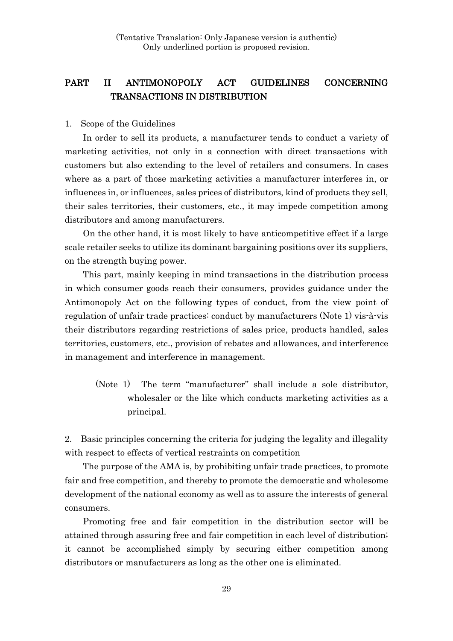# PART II ANTIMONOPOLY ACT GUIDELINES CONCERNING TRANSACTIONS IN DISTRIBUTION

#### 1. Scope of the Guidelines

In order to sell its products, a manufacturer tends to conduct a variety of marketing activities, not only in a connection with direct transactions with customers but also extending to the level of retailers and consumers. In cases where as a part of those marketing activities a manufacturer interferes in, or influences in, or influences, sales prices of distributors, kind of products they sell, their sales territories, their customers, etc., it may impede competition among distributors and among manufacturers.

On the other hand, it is most likely to have anticompetitive effect if a large scale retailer seeks to utilize its dominant bargaining positions over its suppliers, on the strength buying power.

This part, mainly keeping in mind transactions in the distribution process in which consumer goods reach their consumers, provides guidance under the Antimonopoly Act on the following types of conduct, from the view point of regulation of unfair trade practices: conduct by manufacturers (Note 1) vis-à-vis their distributors regarding restrictions of sales price, products handled, sales territories, customers, etc., provision of rebates and allowances, and interference in management and interference in management.

(Note 1) The term "manufacturer" shall include a sole distributor, wholesaler or the like which conducts marketing activities as a principal.

2. Basic principles concerning the criteria for judging the legality and illegality with respect to effects of vertical restraints on competition

The purpose of the AMA is, by prohibiting unfair trade practices, to promote fair and free competition, and thereby to promote the democratic and wholesome development of the national economy as well as to assure the interests of general consumers.

Promoting free and fair competition in the distribution sector will be attained through assuring free and fair competition in each level of distribution; it cannot be accomplished simply by securing either competition among distributors or manufacturers as long as the other one is eliminated.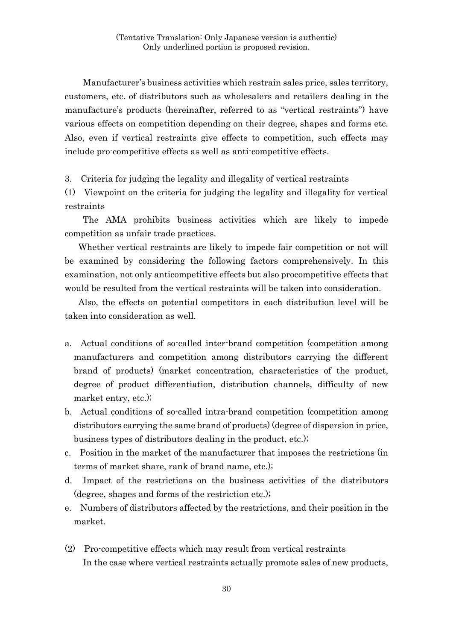Manufacturer's business activities which restrain sales price, sales territory, customers, etc. of distributors such as wholesalers and retailers dealing in the manufacture's products (hereinafter, referred to as "vertical restraints") have various effects on competition depending on their degree, shapes and forms etc. Also, even if vertical restraints give effects to competition, such effects may include pro-competitive effects as well as anti-competitive effects.

3. Criteria for judging the legality and illegality of vertical restraints

(1) Viewpoint on the criteria for judging the legality and illegality for vertical restraints

The AMA prohibits business activities which are likely to impede competition as unfair trade practices.

Whether vertical restraints are likely to impede fair competition or not will be examined by considering the following factors comprehensively. In this examination, not only anticompetitive effects but also procompetitive effects that would be resulted from the vertical restraints will be taken into consideration.

Also, the effects on potential competitors in each distribution level will be taken into consideration as well.

- a. Actual conditions of so-called inter-brand competition (competition among manufacturers and competition among distributors carrying the different brand of products) (market concentration, characteristics of the product, degree of product differentiation, distribution channels, difficulty of new market entry, etc.);
- b. Actual conditions of so-called intra-brand competition (competition among distributors carrying the same brand of products) (degree of dispersion in price, business types of distributors dealing in the product, etc.);
- c. Position in the market of the manufacturer that imposes the restrictions (in terms of market share, rank of brand name, etc.);
- d. Impact of the restrictions on the business activities of the distributors (degree, shapes and forms of the restriction etc.);
- e. Numbers of distributors affected by the restrictions, and their position in the market.
- (2) Pro-competitive effects which may result from vertical restraints In the case where vertical restraints actually promote sales of new products,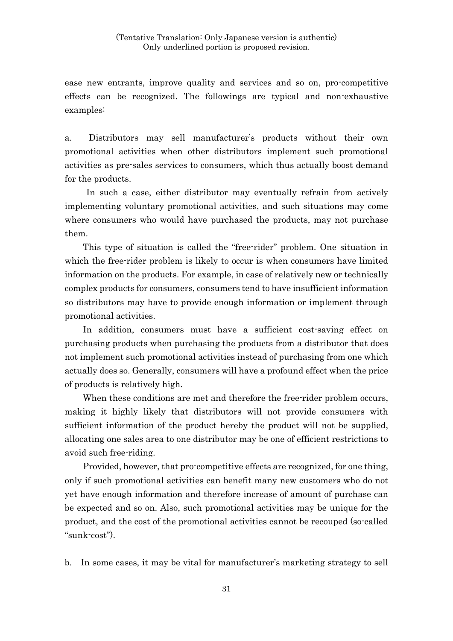ease new entrants, improve quality and services and so on, pro-competitive effects can be recognized. The followings are typical and non-exhaustive examples:

a. Distributors may sell manufacturer's products without their own promotional activities when other distributors implement such promotional activities as pre-sales services to consumers, which thus actually boost demand for the products.

In such a case, either distributor may eventually refrain from actively implementing voluntary promotional activities, and such situations may come where consumers who would have purchased the products, may not purchase them.

This type of situation is called the "free-rider" problem. One situation in which the free-rider problem is likely to occur is when consumers have limited information on the products. For example, in case of relatively new or technically complex products for consumers, consumers tend to have insufficient information so distributors may have to provide enough information or implement through promotional activities.

In addition, consumers must have a sufficient cost-saving effect on purchasing products when purchasing the products from a distributor that does not implement such promotional activities instead of purchasing from one which actually does so. Generally, consumers will have a profound effect when the price of products is relatively high.

When these conditions are met and therefore the free-rider problem occurs, making it highly likely that distributors will not provide consumers with sufficient information of the product hereby the product will not be supplied, allocating one sales area to one distributor may be one of efficient restrictions to avoid such free-riding.

Provided, however, that pro-competitive effects are recognized, for one thing, only if such promotional activities can benefit many new customers who do not yet have enough information and therefore increase of amount of purchase can be expected and so on. Also, such promotional activities may be unique for the product, and the cost of the promotional activities cannot be recouped (so-called "sunk-cost").

b. In some cases, it may be vital for manufacturer's marketing strategy to sell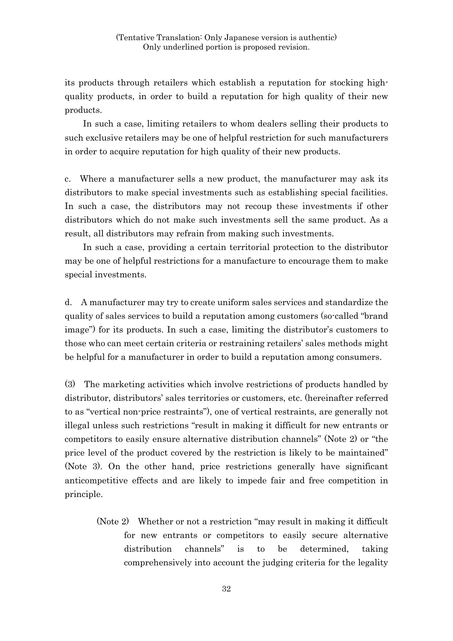its products through retailers which establish a reputation for stocking highquality products, in order to build a reputation for high quality of their new products.

In such a case, limiting retailers to whom dealers selling their products to such exclusive retailers may be one of helpful restriction for such manufacturers in order to acquire reputation for high quality of their new products.

c. Where a manufacturer sells a new product, the manufacturer may ask its distributors to make special investments such as establishing special facilities. In such a case, the distributors may not recoup these investments if other distributors which do not make such investments sell the same product. As a result, all distributors may refrain from making such investments.

In such a case, providing a certain territorial protection to the distributor may be one of helpful restrictions for a manufacture to encourage them to make special investments.

d. A manufacturer may try to create uniform sales services and standardize the quality of sales services to build a reputation among customers (so-called "brand image") for its products. In such a case, limiting the distributor's customers to those who can meet certain criteria or restraining retailers' sales methods might be helpful for a manufacturer in order to build a reputation among consumers.

(3) The marketing activities which involve restrictions of products handled by distributor, distributors' sales territories or customers, etc. (hereinafter referred to as "vertical non-price restraints"), one of vertical restraints, are generally not illegal unless such restrictions "result in making it difficult for new entrants or competitors to easily ensure alternative distribution channels" (Note 2) or "the price level of the product covered by the restriction is likely to be maintained" (Note 3). On the other hand, price restrictions generally have significant anticompetitive effects and are likely to impede fair and free competition in principle.

(Note 2) Whether or not a restriction "may result in making it difficult for new entrants or competitors to easily secure alternative distribution channels" is to be determined, taking comprehensively into account the judging criteria for the legality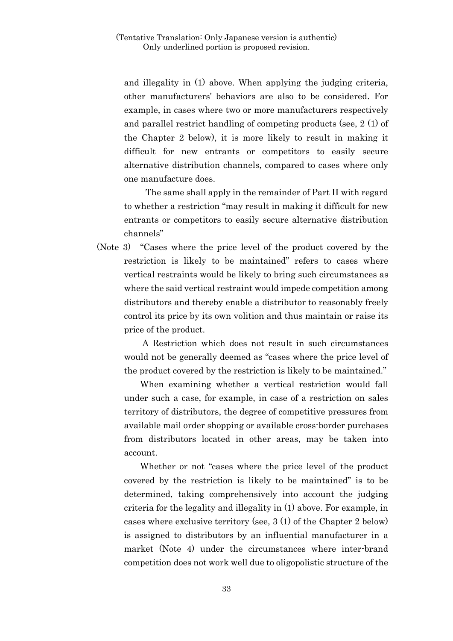and illegality in (1) above. When applying the judging criteria, other manufacturers' behaviors are also to be considered. For example, in cases where two or more manufacturers respectively and parallel restrict handling of competing products (see, 2 (1) of the Chapter 2 below), it is more likely to result in making it difficult for new entrants or competitors to easily secure alternative distribution channels, compared to cases where only one manufacture does.

The same shall apply in the remainder of Part II with regard to whether a restriction "may result in making it difficult for new entrants or competitors to easily secure alternative distribution channels"

(Note 3) "Cases where the price level of the product covered by the restriction is likely to be maintained" refers to cases where vertical restraints would be likely to bring such circumstances as where the said vertical restraint would impede competition among distributors and thereby enable a distributor to reasonably freely control its price by its own volition and thus maintain or raise its price of the product.

A Restriction which does not result in such circumstances would not be generally deemed as "cases where the price level of the product covered by the restriction is likely to be maintained."

When examining whether a vertical restriction would fall under such a case, for example, in case of a restriction on sales territory of distributors, the degree of competitive pressures from available mail order shopping or available cross-border purchases from distributors located in other areas, may be taken into account.

Whether or not "cases where the price level of the product covered by the restriction is likely to be maintained" is to be determined, taking comprehensively into account the judging criteria for the legality and illegality in (1) above. For example, in cases where exclusive territory (see, 3 (1) of the Chapter 2 below) is assigned to distributors by an influential manufacturer in a market (Note 4) under the circumstances where inter-brand competition does not work well due to oligopolistic structure of the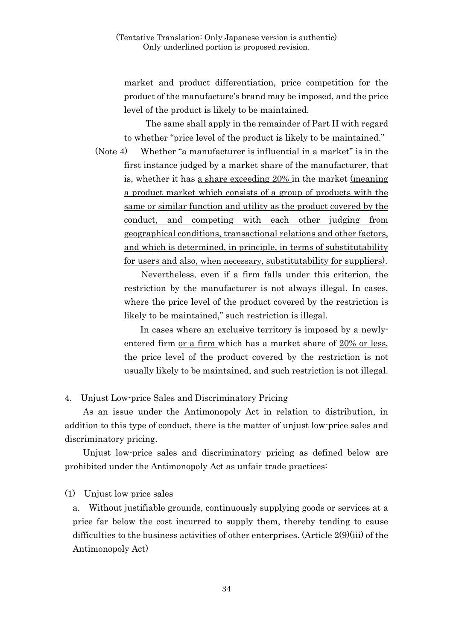market and product differentiation, price competition for the product of the manufacture's brand may be imposed, and the price level of the product is likely to be maintained.

The same shall apply in the remainder of Part II with regard to whether "price level of the product is likely to be maintained."

(Note 4) Whether "a manufacturer is influential in a market" is in the first instance judged by a market share of the manufacturer, that is, whether it has a share exceeding 20% in the market (meaning a product market which consists of a group of products with the same or similar function and utility as the product covered by the conduct, and competing with each other judging from geographical conditions, transactional relations and other factors, and which is determined, in principle, in terms of substitutability for users and also, when necessary, substitutability for suppliers).

Nevertheless, even if a firm falls under this criterion, the restriction by the manufacturer is not always illegal. In cases, where the price level of the product covered by the restriction is likely to be maintained," such restriction is illegal.

In cases where an exclusive territory is imposed by a newlyentered firm or a firm which has a market share of 20% or less, the price level of the product covered by the restriction is not usually likely to be maintained, and such restriction is not illegal.

4. Unjust Low-price Sales and Discriminatory Pricing

As an issue under the Antimonopoly Act in relation to distribution, in addition to this type of conduct, there is the matter of unjust low-price sales and discriminatory pricing.

Unjust low-price sales and discriminatory pricing as defined below are prohibited under the Antimonopoly Act as unfair trade practices:

#### (1) Unjust low price sales

a. Without justifiable grounds, continuously supplying goods or services at a price far below the cost incurred to supply them, thereby tending to cause difficulties to the business activities of other enterprises. (Article 2(9)(iii) of the Antimonopoly Act)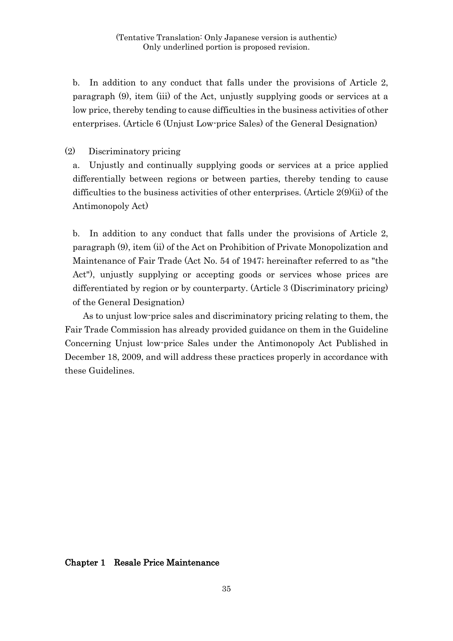b. In addition to any conduct that falls under the provisions of Article 2, paragraph (9), item (iii) of the Act, unjustly supplying goods or services at a low price, thereby tending to cause difficulties in the business activities of other enterprises. (Article 6 (Unjust Low-price Sales) of the General Designation)

# (2) Discriminatory pricing

a. Unjustly and continually supplying goods or services at a price applied differentially between regions or between parties, thereby tending to cause difficulties to the business activities of other enterprises. (Article 2(9)(ii) of the Antimonopoly Act)

b. In addition to any conduct that falls under the provisions of Article 2, paragraph (9), item (ii) of the Act on Prohibition of Private Monopolization and Maintenance of Fair Trade (Act No. 54 of 1947; hereinafter referred to as "the Act"), unjustly supplying or accepting goods or services whose prices are differentiated by region or by counterparty. (Article 3 (Discriminatory pricing) of the General Designation)

As to unjust low-price sales and discriminatory pricing relating to them, the Fair Trade Commission has already provided guidance on them in the Guideline Concerning Unjust low-price Sales under the Antimonopoly Act Published in December 18, 2009, and will address these practices properly in accordance with these Guidelines.

## Chapter 1 Resale Price Maintenance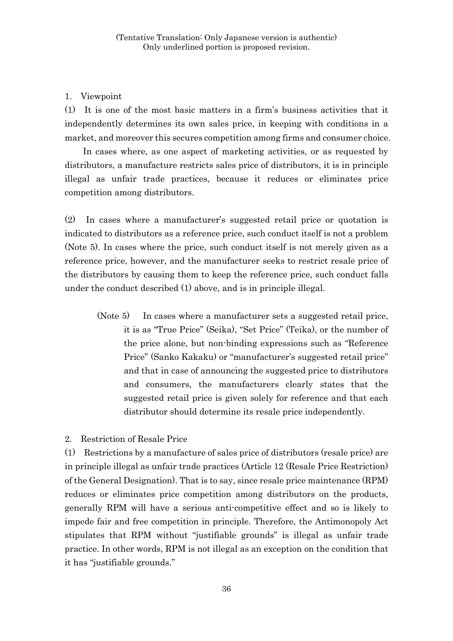## 1. Viewpoint

(1) It is one of the most basic matters in a firm's business activities that it independently determines its own sales price, in keeping with conditions in a market, and moreover this secures competition among firms and consumer choice.

In cases where, as one aspect of marketing activities, or as requested by distributors, a manufacture restricts sales price of distributors, it is in principle illegal as unfair trade practices, because it reduces or eliminates price competition among distributors.

(2) In cases where a manufacturer's suggested retail price or quotation is indicated to distributors as a reference price, such conduct itself is not a problem (Note 5). In cases where the price, such conduct itself is not merely given as a reference price, however, and the manufacturer seeks to restrict resale price of the distributors by causing them to keep the reference price, such conduct falls under the conduct described (1) above, and is in principle illegal.

(Note 5) In cases where a manufacturer sets a suggested retail price, it is as "True Price" (Seika), "Set Price" (Teika), or the number of the price alone, but non-binding expressions such as "Reference Price" (Sanko Kakaku) or "manufacturer's suggested retail price" and that in case of announcing the suggested price to distributors and consumers, the manufacturers clearly states that the suggested retail price is given solely for reference and that each distributor should determine its resale price independently.

#### 2. Restriction of Resale Price

(1) Restrictions by a manufacture of sales price of distributors (resale price) are in principle illegal as unfair trade practices (Article 12 (Resale Price Restriction) of the General Designation). That is to say, since resale price maintenance (RPM) reduces or eliminates price competition among distributors on the products, generally RPM will have a serious anti-competitive effect and so is likely to impede fair and free competition in principle. Therefore, the Antimonopoly Act stipulates that RPM without "justifiable grounds" is illegal as unfair trade practice. In other words, RPM is not illegal as an exception on the condition that it has "justifiable grounds."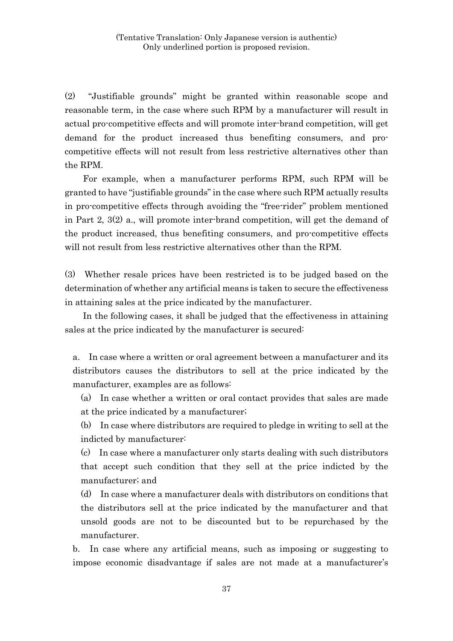(2) "Justifiable grounds" might be granted within reasonable scope and reasonable term, in the case where such RPM by a manufacturer will result in actual pro-competitive effects and will promote inter-brand competition, will get demand for the product increased thus benefiting consumers, and procompetitive effects will not result from less restrictive alternatives other than the RPM.

For example, when a manufacturer performs RPM, such RPM will be granted to have "justifiable grounds" in the case where such RPM actually results in pro-competitive effects through avoiding the "free-rider" problem mentioned in Part 2, 3(2) a., will promote inter-brand competition, will get the demand of the product increased, thus benefiting consumers, and pro-competitive effects will not result from less restrictive alternatives other than the RPM.

(3) Whether resale prices have been restricted is to be judged based on the determination of whether any artificial means is taken to secure the effectiveness in attaining sales at the price indicated by the manufacturer.

In the following cases, it shall be judged that the effectiveness in attaining sales at the price indicated by the manufacturer is secured:

a. In case where a written or oral agreement between a manufacturer and its distributors causes the distributors to sell at the price indicated by the manufacturer, examples are as follows:

(a) In case whether a written or oral contact provides that sales are made at the price indicated by a manufacturer;

(b) In case where distributors are required to pledge in writing to sell at the indicted by manufacturer:

(c) In case where a manufacturer only starts dealing with such distributors that accept such condition that they sell at the price indicted by the manufacturer; and

(d) In case where a manufacturer deals with distributors on conditions that the distributors sell at the price indicated by the manufacturer and that unsold goods are not to be discounted but to be repurchased by the manufacturer.

b. In case where any artificial means, such as imposing or suggesting to impose economic disadvantage if sales are not made at a manufacturer's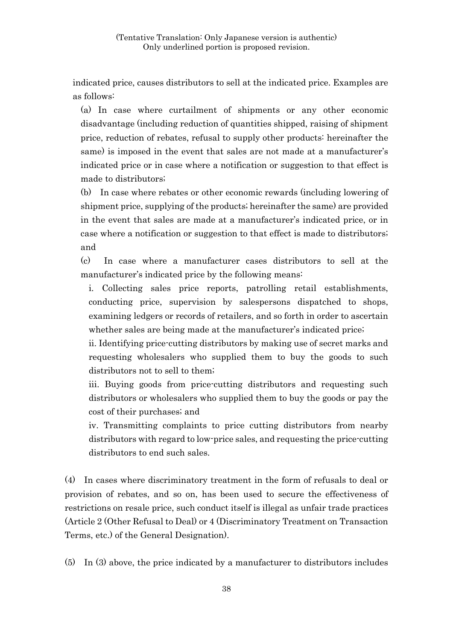indicated price, causes distributors to sell at the indicated price. Examples are as follows:

(a) In case where curtailment of shipments or any other economic disadvantage (including reduction of quantities shipped, raising of shipment price, reduction of rebates, refusal to supply other products: hereinafter the same) is imposed in the event that sales are not made at a manufacturer's indicated price or in case where a notification or suggestion to that effect is made to distributors;

(b) In case where rebates or other economic rewards (including lowering of shipment price, supplying of the products; hereinafter the same) are provided in the event that sales are made at a manufacturer's indicated price, or in case where a notification or suggestion to that effect is made to distributors; and

(c) In case where a manufacturer cases distributors to sell at the manufacturer's indicated price by the following means:

i. Collecting sales price reports, patrolling retail establishments, conducting price, supervision by salespersons dispatched to shops, examining ledgers or records of retailers, and so forth in order to ascertain whether sales are being made at the manufacturer's indicated price;

ii. Identifying price-cutting distributors by making use of secret marks and requesting wholesalers who supplied them to buy the goods to such distributors not to sell to them;

iii. Buying goods from price-cutting distributors and requesting such distributors or wholesalers who supplied them to buy the goods or pay the cost of their purchases; and

iv. Transmitting complaints to price cutting distributors from nearby distributors with regard to low-price sales, and requesting the price-cutting distributors to end such sales.

(4) In cases where discriminatory treatment in the form of refusals to deal or provision of rebates, and so on, has been used to secure the effectiveness of restrictions on resale price, such conduct itself is illegal as unfair trade practices (Article 2 (Other Refusal to Deal) or 4 (Discriminatory Treatment on Transaction Terms, etc.) of the General Designation).

(5) In (3) above, the price indicated by a manufacturer to distributors includes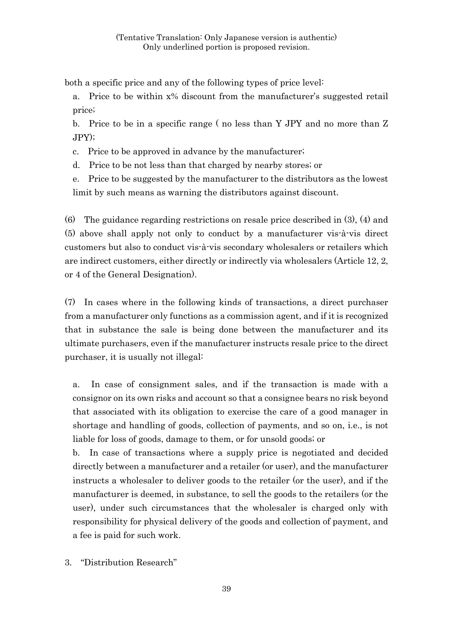both a specific price and any of the following types of price level:

a. Price to be within x% discount from the manufacturer's suggested retail price;

b. Price to be in a specific range ( no less than Y JPY and no more than Z JPY);

c. Price to be approved in advance by the manufacturer;

d. Price to be not less than that charged by nearby stores; or

e. Price to be suggested by the manufacturer to the distributors as the lowest limit by such means as warning the distributors against discount.

(6) The guidance regarding restrictions on resale price described in (3), (4) and (5) above shall apply not only to conduct by a manufacturer vis-à-vis direct customers but also to conduct vis-à-vis secondary wholesalers or retailers which are indirect customers, either directly or indirectly via wholesalers (Article 12, 2, or 4 of the General Designation).

(7) In cases where in the following kinds of transactions, a direct purchaser from a manufacturer only functions as a commission agent, and if it is recognized that in substance the sale is being done between the manufacturer and its ultimate purchasers, even if the manufacturer instructs resale price to the direct purchaser, it is usually not illegal:

a. In case of consignment sales, and if the transaction is made with a consignor on its own risks and account so that a consignee bears no risk beyond that associated with its obligation to exercise the care of a good manager in shortage and handling of goods, collection of payments, and so on, i.e., is not liable for loss of goods, damage to them, or for unsold goods; or

b. In case of transactions where a supply price is negotiated and decided directly between a manufacturer and a retailer (or user), and the manufacturer instructs a wholesaler to deliver goods to the retailer (or the user), and if the manufacturer is deemed, in substance, to sell the goods to the retailers (or the user), under such circumstances that the wholesaler is charged only with responsibility for physical delivery of the goods and collection of payment, and a fee is paid for such work.

3. "Distribution Research"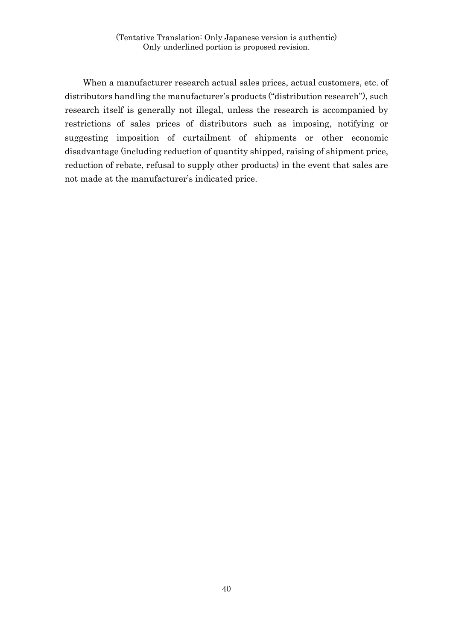When a manufacturer research actual sales prices, actual customers, etc. of distributors handling the manufacturer's products ("distribution research"), such research itself is generally not illegal, unless the research is accompanied by restrictions of sales prices of distributors such as imposing, notifying or suggesting imposition of curtailment of shipments or other economic disadvantage (including reduction of quantity shipped, raising of shipment price, reduction of rebate, refusal to supply other products) in the event that sales are not made at the manufacturer's indicated price.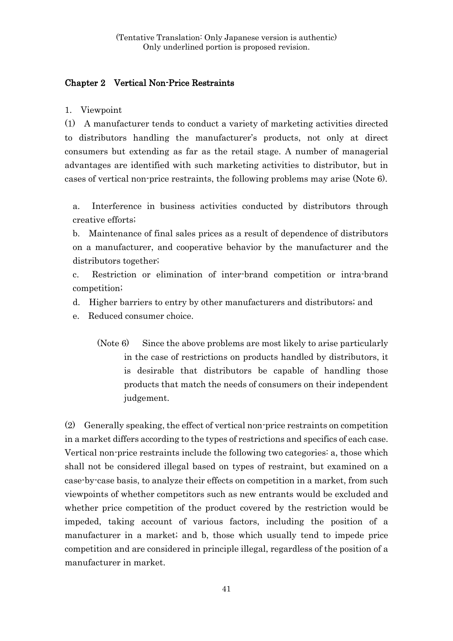# Chapter 2 Vertical Non-Price Restraints

1. Viewpoint

(1) A manufacturer tends to conduct a variety of marketing activities directed to distributors handling the manufacturer's products, not only at direct consumers but extending as far as the retail stage. A number of managerial advantages are identified with such marketing activities to distributor, but in cases of vertical non-price restraints, the following problems may arise (Note 6).

a. Interference in business activities conducted by distributors through creative efforts;

b. Maintenance of final sales prices as a result of dependence of distributors on a manufacturer, and cooperative behavior by the manufacturer and the distributors together;

c. Restriction or elimination of inter-brand competition or intra-brand competition;

d. Higher barriers to entry by other manufacturers and distributors; and

e. Reduced consumer choice.

(Note 6) Since the above problems are most likely to arise particularly in the case of restrictions on products handled by distributors, it is desirable that distributors be capable of handling those products that match the needs of consumers on their independent judgement.

(2) Generally speaking, the effect of vertical non-price restraints on competition in a market differs according to the types of restrictions and specifics of each case. Vertical non-price restraints include the following two categories: a, those which shall not be considered illegal based on types of restraint, but examined on a case-by-case basis, to analyze their effects on competition in a market, from such viewpoints of whether competitors such as new entrants would be excluded and whether price competition of the product covered by the restriction would be impeded, taking account of various factors, including the position of a manufacturer in a market; and b, those which usually tend to impede price competition and are considered in principle illegal, regardless of the position of a manufacturer in market.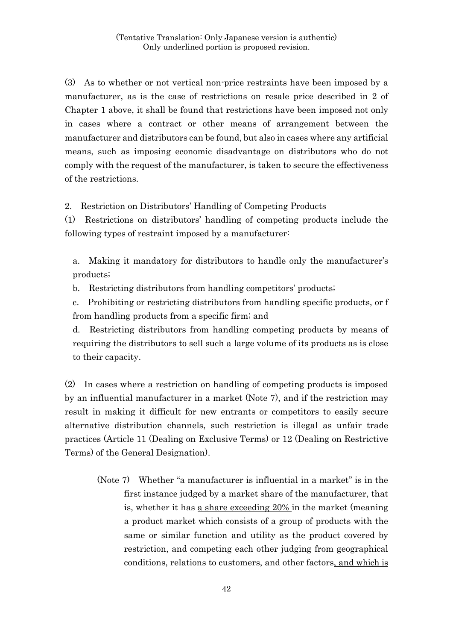(3) As to whether or not vertical non-price restraints have been imposed by a manufacturer, as is the case of restrictions on resale price described in 2 of Chapter 1 above, it shall be found that restrictions have been imposed not only in cases where a contract or other means of arrangement between the manufacturer and distributors can be found, but also in cases where any artificial means, such as imposing economic disadvantage on distributors who do not comply with the request of the manufacturer, is taken to secure the effectiveness of the restrictions.

2. Restriction on Distributors' Handling of Competing Products

(1) Restrictions on distributors' handling of competing products include the following types of restraint imposed by a manufacturer:

a. Making it mandatory for distributors to handle only the manufacturer's products;

b. Restricting distributors from handling competitors' products;

c. Prohibiting or restricting distributors from handling specific products, or f from handling products from a specific firm; and

d. Restricting distributors from handling competing products by means of requiring the distributors to sell such a large volume of its products as is close to their capacity.

(2) In cases where a restriction on handling of competing products is imposed by an influential manufacturer in a market (Note 7), and if the restriction may result in making it difficult for new entrants or competitors to easily secure alternative distribution channels, such restriction is illegal as unfair trade practices (Article 11 (Dealing on Exclusive Terms) or 12 (Dealing on Restrictive Terms) of the General Designation).

(Note 7) Whether "a manufacturer is influential in a market" is in the first instance judged by a market share of the manufacturer, that is, whether it has a share exceeding 20% in the market (meaning a product market which consists of a group of products with the same or similar function and utility as the product covered by restriction, and competing each other judging from geographical conditions, relations to customers, and other factors, and which is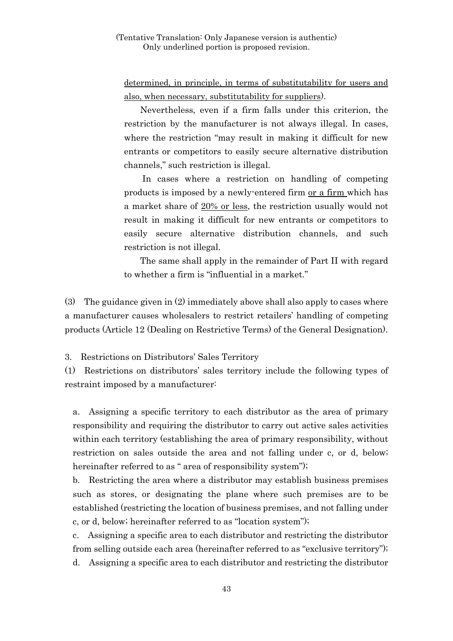determined, in principle, in terms of substitutability for users and also, when necessary, substitutability for suppliers).

Nevertheless, even if a firm falls under this criterion, the restriction by the manufacturer is not always illegal. In cases, where the restriction "may result in making it difficult for new entrants or competitors to easily secure alternative distribution channels," such restriction is illegal.

In cases where a restriction on handling of competing products is imposed by a newly-entered firm or a firm which has a market share of 20% or less, the restriction usually would not result in making it difficult for new entrants or competitors to easily secure alternative distribution channels, and such restriction is not illegal.

The same shall apply in the remainder of Part II with regard to whether a firm is "influential in a market."

(3) The guidance given in (2) immediately above shall also apply to cases where a manufacturer causes wholesalers to restrict retailers' handling of competing products (Article 12 (Dealing on Restrictive Terms) of the General Designation).

3. Restrictions on Distributors' Sales Territory

(1) Restrictions on distributors' sales territory include the following types of restraint imposed by a manufacturer:

a. Assigning a specific territory to each distributor as the area of primary responsibility and requiring the distributor to carry out active sales activities within each territory (establishing the area of primary responsibility, without restriction on sales outside the area and not falling under c, or d, below; hereinafter referred to as " area of responsibility system");

b. Restricting the area where a distributor may establish business premises such as stores, or designating the plane where such premises are to be established (restricting the location of business premises, and not falling under c, or d, below; hereinafter referred to as "location system");

c. Assigning a specific area to each distributor and restricting the distributor from selling outside each area (hereinafter referred to as "exclusive territory");

d. Assigning a specific area to each distributor and restricting the distributor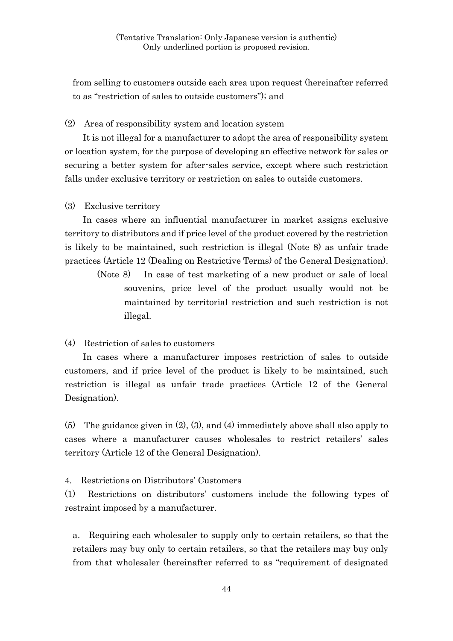from selling to customers outside each area upon request (hereinafter referred to as "restriction of sales to outside customers"); and

#### (2) Area of responsibility system and location system

It is not illegal for a manufacturer to adopt the area of responsibility system or location system, for the purpose of developing an effective network for sales or securing a better system for after-sales service, except where such restriction falls under exclusive territory or restriction on sales to outside customers.

#### (3) Exclusive territory

In cases where an influential manufacturer in market assigns exclusive territory to distributors and if price level of the product covered by the restriction is likely to be maintained, such restriction is illegal (Note 8) as unfair trade practices (Article 12 (Dealing on Restrictive Terms) of the General Designation).

(Note 8) In case of test marketing of a new product or sale of local souvenirs, price level of the product usually would not be maintained by territorial restriction and such restriction is not illegal.

#### (4) Restriction of sales to customers

In cases where a manufacturer imposes restriction of sales to outside customers, and if price level of the product is likely to be maintained, such restriction is illegal as unfair trade practices (Article 12 of the General Designation).

(5) The guidance given in (2), (3), and (4) immediately above shall also apply to cases where a manufacturer causes wholesales to restrict retailers' sales territory (Article 12 of the General Designation).

4. Restrictions on Distributors' Customers

(1) Restrictions on distributors' customers include the following types of restraint imposed by a manufacturer.

a. Requiring each wholesaler to supply only to certain retailers, so that the retailers may buy only to certain retailers, so that the retailers may buy only from that wholesaler (hereinafter referred to as "requirement of designated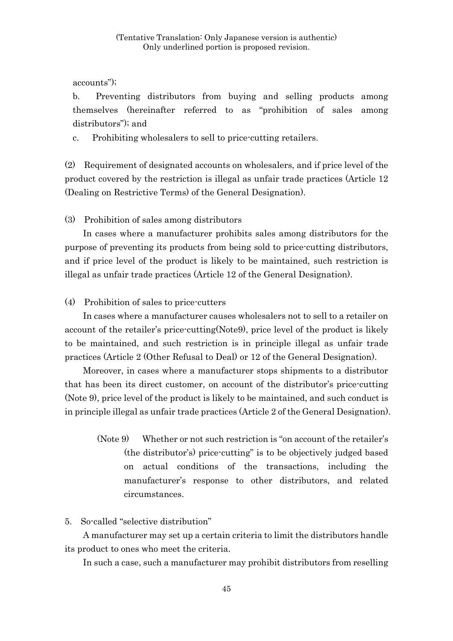# accounts");

b. Preventing distributors from buying and selling products among themselves (hereinafter referred to as "prohibition of sales among distributors"); and

c. Prohibiting wholesalers to sell to price-cutting retailers.

(2) Requirement of designated accounts on wholesalers, and if price level of the product covered by the restriction is illegal as unfair trade practices (Article 12 (Dealing on Restrictive Terms) of the General Designation).

(3) Prohibition of sales among distributors

In cases where a manufacturer prohibits sales among distributors for the purpose of preventing its products from being sold to price-cutting distributors, and if price level of the product is likely to be maintained, such restriction is illegal as unfair trade practices (Article 12 of the General Designation).

(4) Prohibition of sales to price-cutters

In cases where a manufacturer causes wholesalers not to sell to a retailer on account of the retailer's price-cutting(Note9), price level of the product is likely to be maintained, and such restriction is in principle illegal as unfair trade practices (Article 2 (Other Refusal to Deal) or 12 of the General Designation).

Moreover, in cases where a manufacturer stops shipments to a distributor that has been its direct customer, on account of the distributor's price-cutting (Note 9), price level of the product is likely to be maintained, and such conduct is in principle illegal as unfair trade practices (Article 2 of the General Designation).

(Note 9) Whether or not such restriction is "on account of the retailer's (the distributor's) price-cutting" is to be objectively judged based on actual conditions of the transactions, including the manufacturer's response to other distributors, and related circumstances.

## 5. So-called "selective distribution"

A manufacturer may set up a certain criteria to limit the distributors handle its product to ones who meet the criteria.

In such a case, such a manufacturer may prohibit distributors from reselling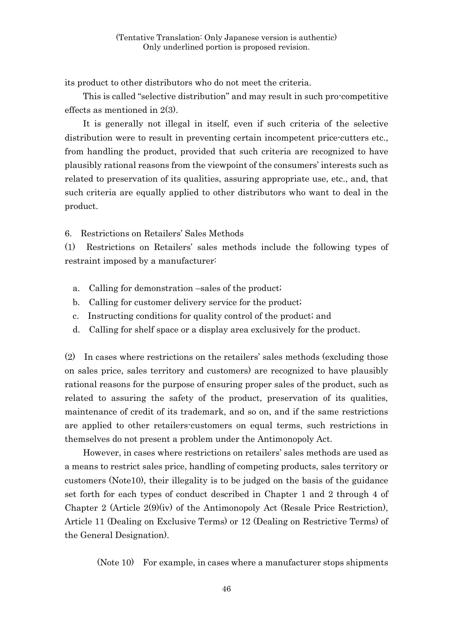its product to other distributors who do not meet the criteria.

This is called "selective distribution" and may result in such pro-competitive effects as mentioned in 2(3).

It is generally not illegal in itself, even if such criteria of the selective distribution were to result in preventing certain incompetent price-cutters etc., from handling the product, provided that such criteria are recognized to have plausibly rational reasons from the viewpoint of the consumers' interests such as related to preservation of its qualities, assuring appropriate use, etc., and, that such criteria are equally applied to other distributors who want to deal in the product.

6. Restrictions on Retailers' Sales Methods

(1) Restrictions on Retailers' sales methods include the following types of restraint imposed by a manufacturer:

- a. Calling for demonstration –sales of the product;
- b. Calling for customer delivery service for the product;
- c. Instructing conditions for quality control of the product; and
- d. Calling for shelf space or a display area exclusively for the product.

(2) In cases where restrictions on the retailers' sales methods (excluding those on sales price, sales territory and customers) are recognized to have plausibly rational reasons for the purpose of ensuring proper sales of the product, such as related to assuring the safety of the product, preservation of its qualities, maintenance of credit of its trademark, and so on, and if the same restrictions are applied to other retailers-customers on equal terms, such restrictions in themselves do not present a problem under the Antimonopoly Act.

However, in cases where restrictions on retailers' sales methods are used as a means to restrict sales price, handling of competing products, sales territory or customers (Note10), their illegality is to be judged on the basis of the guidance set forth for each types of conduct described in Chapter 1 and 2 through 4 of Chapter 2 (Article 2(9)(iv) of the Antimonopoly Act (Resale Price Restriction), Article 11 (Dealing on Exclusive Terms) or 12 (Dealing on Restrictive Terms) of the General Designation).

(Note 10) For example, in cases where a manufacturer stops shipments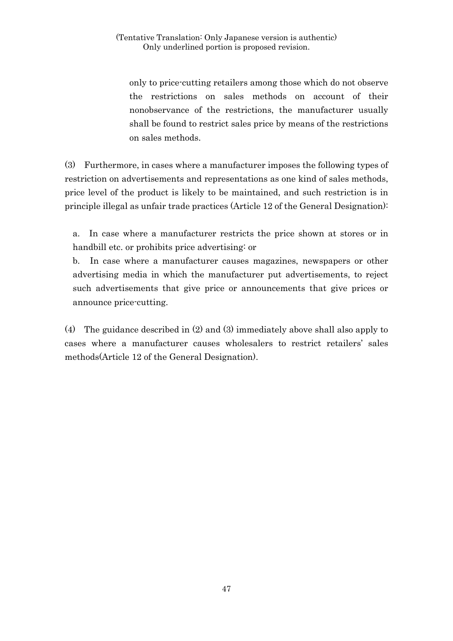only to price-cutting retailers among those which do not observe the restrictions on sales methods on account of their nonobservance of the restrictions, the manufacturer usually shall be found to restrict sales price by means of the restrictions on sales methods.

(3) Furthermore, in cases where a manufacturer imposes the following types of restriction on advertisements and representations as one kind of sales methods, price level of the product is likely to be maintained, and such restriction is in principle illegal as unfair trade practices (Article 12 of the General Designation):

a. In case where a manufacturer restricts the price shown at stores or in handbill etc. or prohibits price advertising: or

b. In case where a manufacturer causes magazines, newspapers or other advertising media in which the manufacturer put advertisements, to reject such advertisements that give price or announcements that give prices or announce price-cutting.

(4) The guidance described in (2) and (3) immediately above shall also apply to cases where a manufacturer causes wholesalers to restrict retailers' sales methods(Article 12 of the General Designation).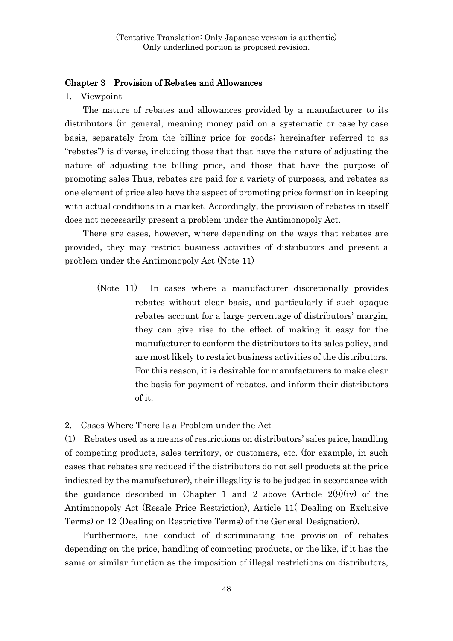#### Chapter 3 Provision of Rebates and Allowances

1. Viewpoint

The nature of rebates and allowances provided by a manufacturer to its distributors (in general, meaning money paid on a systematic or case-by-case basis, separately from the billing price for goods; hereinafter referred to as "rebates") is diverse, including those that that have the nature of adjusting the nature of adjusting the billing price, and those that have the purpose of promoting sales Thus, rebates are paid for a variety of purposes, and rebates as one element of price also have the aspect of promoting price formation in keeping with actual conditions in a market. Accordingly, the provision of rebates in itself does not necessarily present a problem under the Antimonopoly Act.

There are cases, however, where depending on the ways that rebates are provided, they may restrict business activities of distributors and present a problem under the Antimonopoly Act (Note 11)

(Note 11) In cases where a manufacturer discretionally provides rebates without clear basis, and particularly if such opaque rebates account for a large percentage of distributors' margin, they can give rise to the effect of making it easy for the manufacturer to conform the distributors to its sales policy, and are most likely to restrict business activities of the distributors. For this reason, it is desirable for manufacturers to make clear the basis for payment of rebates, and inform their distributors of it.

2. Cases Where There Is a Problem under the Act

(1) Rebates used as a means of restrictions on distributors' sales price, handling of competing products, sales territory, or customers, etc. (for example, in such cases that rebates are reduced if the distributors do not sell products at the price indicated by the manufacturer), their illegality is to be judged in accordance with the guidance described in Chapter 1 and 2 above (Article  $2(9)(iv)$  of the Antimonopoly Act (Resale Price Restriction), Article 11( Dealing on Exclusive Terms) or 12 (Dealing on Restrictive Terms) of the General Designation).

Furthermore, the conduct of discriminating the provision of rebates depending on the price, handling of competing products, or the like, if it has the same or similar function as the imposition of illegal restrictions on distributors,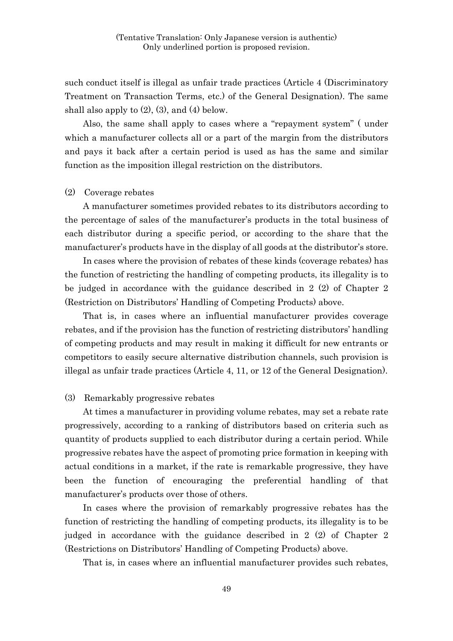such conduct itself is illegal as unfair trade practices (Article 4 (Discriminatory Treatment on Transaction Terms, etc.) of the General Designation). The same shall also apply to  $(2)$ ,  $(3)$ , and  $(4)$  below.

Also, the same shall apply to cases where a "repayment system" ( under which a manufacturer collects all or a part of the margin from the distributors and pays it back after a certain period is used as has the same and similar function as the imposition illegal restriction on the distributors.

#### (2) Coverage rebates

A manufacturer sometimes provided rebates to its distributors according to the percentage of sales of the manufacturer's products in the total business of each distributor during a specific period, or according to the share that the manufacturer's products have in the display of all goods at the distributor's store.

In cases where the provision of rebates of these kinds (coverage rebates) has the function of restricting the handling of competing products, its illegality is to be judged in accordance with the guidance described in 2 (2) of Chapter 2 (Restriction on Distributors' Handling of Competing Products) above.

That is, in cases where an influential manufacturer provides coverage rebates, and if the provision has the function of restricting distributors' handling of competing products and may result in making it difficult for new entrants or competitors to easily secure alternative distribution channels, such provision is illegal as unfair trade practices (Article 4, 11, or 12 of the General Designation).

#### (3) Remarkably progressive rebates

At times a manufacturer in providing volume rebates, may set a rebate rate progressively, according to a ranking of distributors based on criteria such as quantity of products supplied to each distributor during a certain period. While progressive rebates have the aspect of promoting price formation in keeping with actual conditions in a market, if the rate is remarkable progressive, they have been the function of encouraging the preferential handling of that manufacturer's products over those of others.

In cases where the provision of remarkably progressive rebates has the function of restricting the handling of competing products, its illegality is to be judged in accordance with the guidance described in 2 (2) of Chapter 2 (Restrictions on Distributors' Handling of Competing Products) above.

That is, in cases where an influential manufacturer provides such rebates,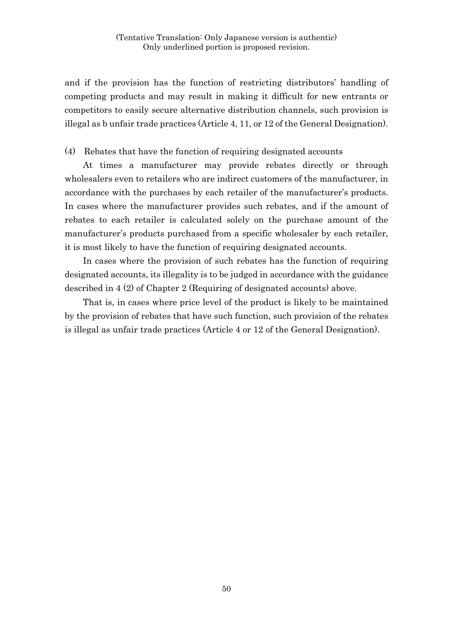and if the provision has the function of restricting distributors' handling of competing products and may result in making it difficult for new entrants or competitors to easily secure alternative distribution channels, such provision is illegal as b unfair trade practices (Article 4, 11, or 12 of the General Designation).

### (4) Rebates that have the function of requiring designated accounts

At times a manufacturer may provide rebates directly or through wholesalers even to retailers who are indirect customers of the manufacturer, in accordance with the purchases by each retailer of the manufacturer's products. In cases where the manufacturer provides such rebates, and if the amount of rebates to each retailer is calculated solely on the purchase amount of the manufacturer's products purchased from a specific wholesaler by each retailer, it is most likely to have the function of requiring designated accounts.

In cases where the provision of such rebates has the function of requiring designated accounts, its illegality is to be judged in accordance with the guidance described in 4 (2) of Chapter 2 (Requiring of designated accounts) above.

That is, in cases where price level of the product is likely to be maintained by the provision of rebates that have such function, such provision of the rebates is illegal as unfair trade practices (Article 4 or 12 of the General Designation).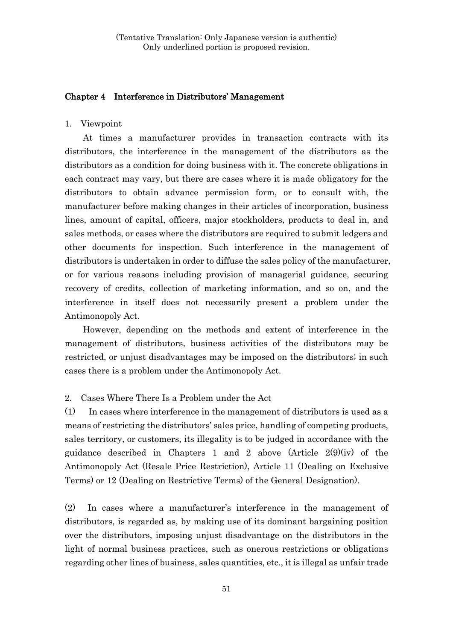## Chapter 4 Interference in Distributors' Management

1. Viewpoint

At times a manufacturer provides in transaction contracts with its distributors, the interference in the management of the distributors as the distributors as a condition for doing business with it. The concrete obligations in each contract may vary, but there are cases where it is made obligatory for the distributors to obtain advance permission form, or to consult with, the manufacturer before making changes in their articles of incorporation, business lines, amount of capital, officers, major stockholders, products to deal in, and sales methods, or cases where the distributors are required to submit ledgers and other documents for inspection. Such interference in the management of distributors is undertaken in order to diffuse the sales policy of the manufacturer, or for various reasons including provision of managerial guidance, securing recovery of credits, collection of marketing information, and so on, and the interference in itself does not necessarily present a problem under the Antimonopoly Act.

However, depending on the methods and extent of interference in the management of distributors, business activities of the distributors may be restricted, or unjust disadvantages may be imposed on the distributors; in such cases there is a problem under the Antimonopoly Act.

2. Cases Where There Is a Problem under the Act

(1) In cases where interference in the management of distributors is used as a means of restricting the distributors' sales price, handling of competing products, sales territory, or customers, its illegality is to be judged in accordance with the guidance described in Chapters 1 and 2 above  $(\text{Article } 2(9)(iv)$  of the Antimonopoly Act (Resale Price Restriction), Article 11 (Dealing on Exclusive Terms) or 12 (Dealing on Restrictive Terms) of the General Designation).

(2) In cases where a manufacturer's interference in the management of distributors, is regarded as, by making use of its dominant bargaining position over the distributors, imposing unjust disadvantage on the distributors in the light of normal business practices, such as onerous restrictions or obligations regarding other lines of business, sales quantities, etc., it is illegal as unfair trade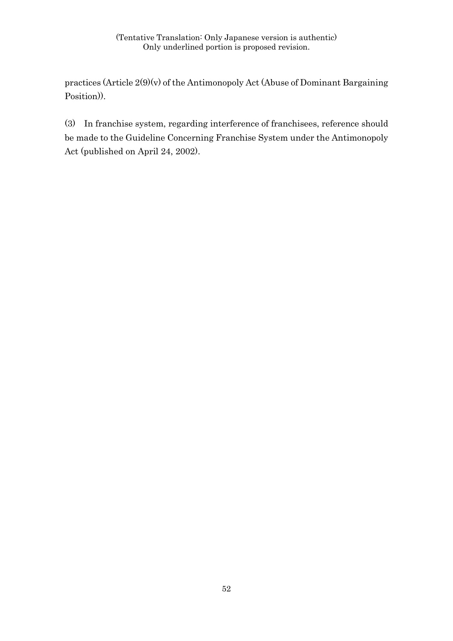practices (Article 2(9)(v) of the Antimonopoly Act (Abuse of Dominant Bargaining Position)).

(3) In franchise system, regarding interference of franchisees, reference should be made to the Guideline Concerning Franchise System under the Antimonopoly Act (published on April 24, 2002).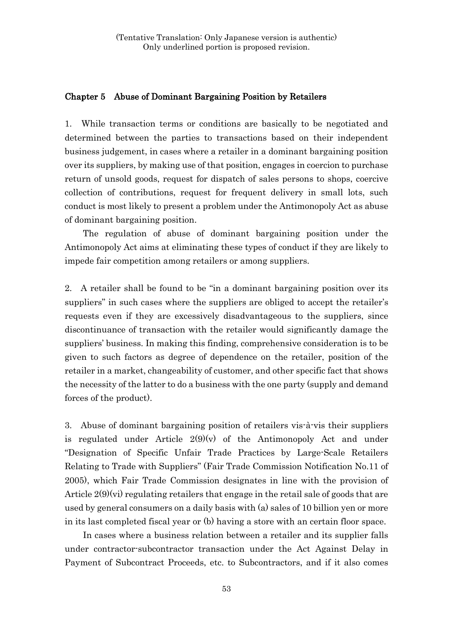## Chapter 5 Abuse of Dominant Bargaining Position by Retailers

1. While transaction terms or conditions are basically to be negotiated and determined between the parties to transactions based on their independent business judgement, in cases where a retailer in a dominant bargaining position over its suppliers, by making use of that position, engages in coercion to purchase return of unsold goods, request for dispatch of sales persons to shops, coercive collection of contributions, request for frequent delivery in small lots, such conduct is most likely to present a problem under the Antimonopoly Act as abuse of dominant bargaining position.

The regulation of abuse of dominant bargaining position under the Antimonopoly Act aims at eliminating these types of conduct if they are likely to impede fair competition among retailers or among suppliers.

2. A retailer shall be found to be "in a dominant bargaining position over its suppliers" in such cases where the suppliers are obliged to accept the retailer's requests even if they are excessively disadvantageous to the suppliers, since discontinuance of transaction with the retailer would significantly damage the suppliers' business. In making this finding, comprehensive consideration is to be given to such factors as degree of dependence on the retailer, position of the retailer in a market, changeability of customer, and other specific fact that shows the necessity of the latter to do a business with the one party (supply and demand forces of the product).

3. Abuse of dominant bargaining position of retailers vis-à-vis their suppliers is regulated under Article  $2(9)(v)$  of the Antimonopoly Act and under "Designation of Specific Unfair Trade Practices by Large-Scale Retailers Relating to Trade with Suppliers" (Fair Trade Commission Notification No.11 of 2005), which Fair Trade Commission designates in line with the provision of Article 2(9)(vi) regulating retailers that engage in the retail sale of goods that are used by general consumers on a daily basis with (a) sales of 10 billion yen or more in its last completed fiscal year or (b) having a store with an certain floor space.

In cases where a business relation between a retailer and its supplier falls under contractor-subcontractor transaction under the Act Against Delay in Payment of Subcontract Proceeds, etc. to Subcontractors, and if it also comes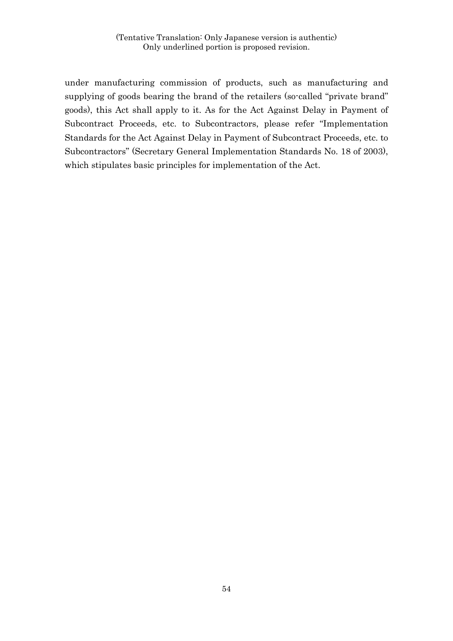under manufacturing commission of products, such as manufacturing and supplying of goods bearing the brand of the retailers (so-called "private brand" goods), this Act shall apply to it. As for the Act Against Delay in Payment of Subcontract Proceeds, etc. to Subcontractors, please refer "Implementation Standards for the Act Against Delay in Payment of Subcontract Proceeds, etc. to Subcontractors" (Secretary General Implementation Standards No. 18 of 2003), which stipulates basic principles for implementation of the Act.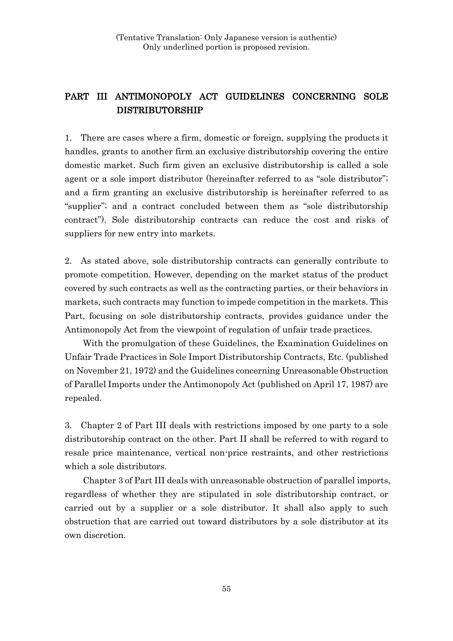# PART III ANTIMONOPOLY ACT GUIDELINES CONCERNING SOLE DISTRIBUTORSHIP

1. There are cases where a firm, domestic or foreign, supplying the products it handles, grants to another firm an exclusive distributorship covering the entire domestic market. Such firm given an exclusive distributorship is called a sole agent or a sole import distributor (hereinafter referred to as "sole distributor"; and a firm granting an exclusive distributorship is hereinafter referred to as "supplier"; and a contract concluded between them as "sole distributorship contract"). Sole distributorship contracts can reduce the cost and risks of suppliers for new entry into markets.

2. As stated above, sole distributorship contracts can generally contribute to promote competition. However, depending on the market status of the product covered by such contracts as well as the contracting parties, or their behaviors in markets, such contracts may function to impede competition in the markets. This Part, focusing on sole distributorship contracts, provides guidance under the Antimonopoly Act from the viewpoint of regulation of unfair trade practices.

With the promulgation of these Guidelines, the Examination Guidelines on Unfair Trade Practices in Sole Import Distributorship Contracts, Etc. (published on November 21, 1972) and the Guidelines concerning Unreasonable Obstruction of Parallel Imports under the Antimonopoly Act (published on April 17, 1987) are repealed.

3. Chapter 2 of Part III deals with restrictions imposed by one party to a sole distributorship contract on the other. Part II shall be referred to with regard to resale price maintenance, vertical non-price restraints, and other restrictions which a sole distributors.

Chapter 3 of Part III deals with unreasonable obstruction of parallel imports, regardless of whether they are stipulated in sole distributorship contract, or carried out by a supplier or a sole distributor. It shall also apply to such obstruction that are carried out toward distributors by a sole distributor at its own discretion.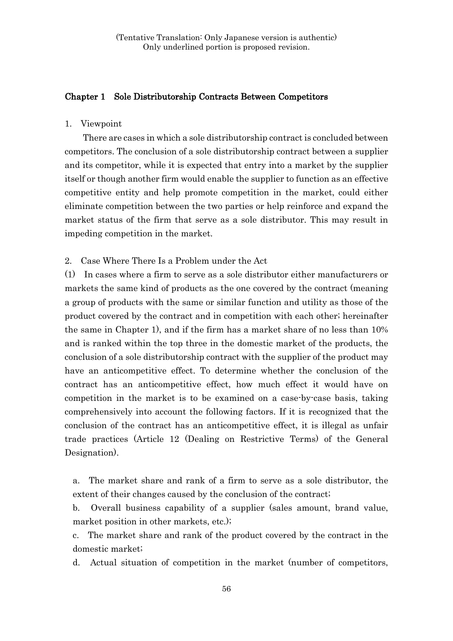# Chapter 1 Sole Distributorship Contracts Between Competitors

#### 1. Viewpoint

There are cases in which a sole distributorship contract is concluded between competitors. The conclusion of a sole distributorship contract between a supplier and its competitor, while it is expected that entry into a market by the supplier itself or though another firm would enable the supplier to function as an effective competitive entity and help promote competition in the market, could either eliminate competition between the two parties or help reinforce and expand the market status of the firm that serve as a sole distributor. This may result in impeding competition in the market.

## 2. Case Where There Is a Problem under the Act

(1) In cases where a firm to serve as a sole distributor either manufacturers or markets the same kind of products as the one covered by the contract (meaning a group of products with the same or similar function and utility as those of the product covered by the contract and in competition with each other; hereinafter the same in Chapter 1), and if the firm has a market share of no less than 10% and is ranked within the top three in the domestic market of the products, the conclusion of a sole distributorship contract with the supplier of the product may have an anticompetitive effect. To determine whether the conclusion of the contract has an anticompetitive effect, how much effect it would have on competition in the market is to be examined on a case-by-case basis, taking comprehensively into account the following factors. If it is recognized that the conclusion of the contract has an anticompetitive effect, it is illegal as unfair trade practices (Article 12 (Dealing on Restrictive Terms) of the General Designation).

a. The market share and rank of a firm to serve as a sole distributor, the extent of their changes caused by the conclusion of the contract;

b. Overall business capability of a supplier (sales amount, brand value, market position in other markets, etc.);

c. The market share and rank of the product covered by the contract in the domestic market;

d. Actual situation of competition in the market (number of competitors,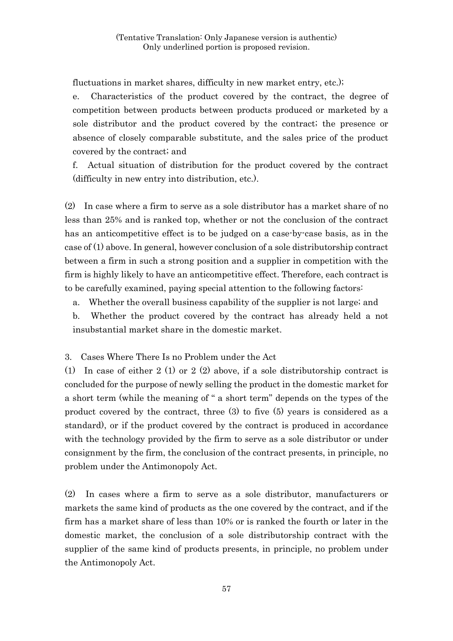fluctuations in market shares, difficulty in new market entry, etc.);

e. Characteristics of the product covered by the contract, the degree of competition between products between products produced or marketed by a sole distributor and the product covered by the contract; the presence or absence of closely comparable substitute, and the sales price of the product covered by the contract; and

f. Actual situation of distribution for the product covered by the contract (difficulty in new entry into distribution, etc.).

(2) In case where a firm to serve as a sole distributor has a market share of no less than 25% and is ranked top, whether or not the conclusion of the contract has an anticompetitive effect is to be judged on a case-by-case basis, as in the case of (1) above. In general, however conclusion of a sole distributorship contract between a firm in such a strong position and a supplier in competition with the firm is highly likely to have an anticompetitive effect. Therefore, each contract is to be carefully examined, paying special attention to the following factors:

a. Whether the overall business capability of the supplier is not large; and

b. Whether the product covered by the contract has already held a not insubstantial market share in the domestic market.

3. Cases Where There Is no Problem under the Act

(1) In case of either 2 (1) or 2 (2) above, if a sole distributorship contract is concluded for the purpose of newly selling the product in the domestic market for a short term (while the meaning of " a short term" depends on the types of the product covered by the contract, three (3) to five (5) years is considered as a standard), or if the product covered by the contract is produced in accordance with the technology provided by the firm to serve as a sole distributor or under consignment by the firm, the conclusion of the contract presents, in principle, no problem under the Antimonopoly Act.

(2) In cases where a firm to serve as a sole distributor, manufacturers or markets the same kind of products as the one covered by the contract, and if the firm has a market share of less than 10% or is ranked the fourth or later in the domestic market, the conclusion of a sole distributorship contract with the supplier of the same kind of products presents, in principle, no problem under the Antimonopoly Act.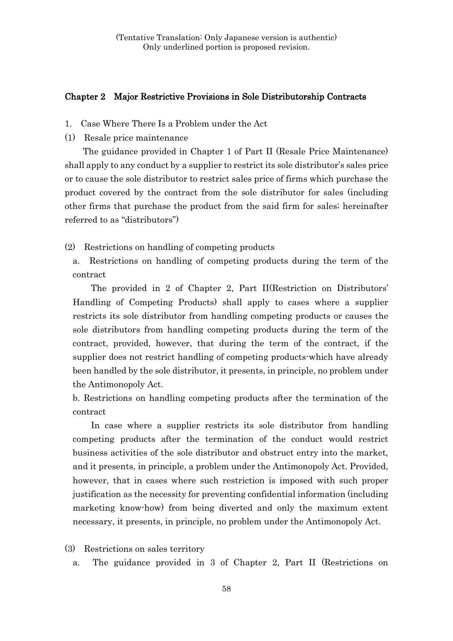### Chapter 2 Major Restrictive Provisions in Sole Distributorship Contracts

- 1. Case Where There Is a Problem under the Act
- (1) Resale price maintenance

The guidance provided in Chapter 1 of Part II (Resale Price Maintenance) shall apply to any conduct by a supplier to restrict its sole distributor's sales price or to cause the sole distributor to restrict sales price of firms which purchase the product covered by the contract from the sole distributor for sales (including other firms that purchase the product from the said firm for sales; hereinafter referred to as "distributors")

- (2) Restrictions on handling of competing products
	- a. Restrictions on handling of competing products during the term of the contract

The provided in 2 of Chapter 2, Part II(Restriction on Distributors' Handling of Competing Products) shall apply to cases where a supplier restricts its sole distributor from handling competing products or causes the sole distributors from handling competing products during the term of the contract, provided, however, that during the term of the contract, if the supplier does not restrict handling of competing products-which have already been handled by the sole distributor, it presents, in principle, no problem under the Antimonopoly Act.

b. Restrictions on handling competing products after the termination of the contract

In case where a supplier restricts its sole distributor from handling competing products after the termination of the conduct would restrict business activities of the sole distributor and obstruct entry into the market, and it presents, in principle, a problem under the Antimonopoly Act. Provided, however, that in cases where such restriction is imposed with such proper justification as the necessity for preventing confidential information (including marketing know-how) from being diverted and only the maximum extent necessary, it presents, in principle, no problem under the Antimonopoly Act.

- (3) Restrictions on sales territory
	- a. The guidance provided in 3 of Chapter 2, Part II (Restrictions on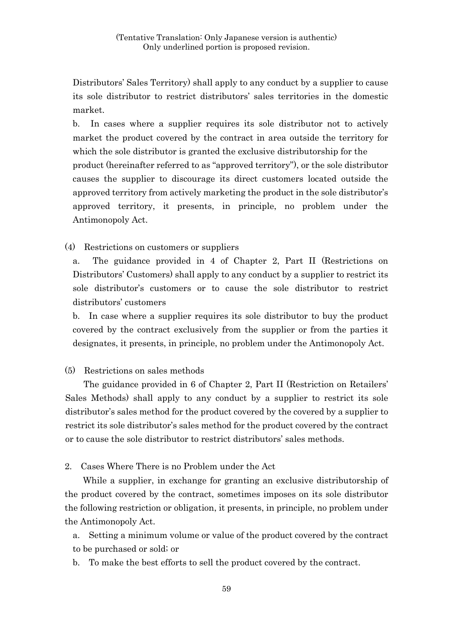Distributors' Sales Territory) shall apply to any conduct by a supplier to cause its sole distributor to restrict distributors' sales territories in the domestic market.

b. In cases where a supplier requires its sole distributor not to actively market the product covered by the contract in area outside the territory for which the sole distributor is granted the exclusive distributorship for the product (hereinafter referred to as "approved territory"), or the sole distributor causes the supplier to discourage its direct customers located outside the approved territory from actively marketing the product in the sole distributor's approved territory, it presents, in principle, no problem under the Antimonopoly Act.

(4) Restrictions on customers or suppliers

a. The guidance provided in 4 of Chapter 2, Part II (Restrictions on Distributors' Customers) shall apply to any conduct by a supplier to restrict its sole distributor's customers or to cause the sole distributor to restrict distributors' customers

b. In case where a supplier requires its sole distributor to buy the product covered by the contract exclusively from the supplier or from the parties it designates, it presents, in principle, no problem under the Antimonopoly Act.

#### (5) Restrictions on sales methods

The guidance provided in 6 of Chapter 2, Part II (Restriction on Retailers' Sales Methods) shall apply to any conduct by a supplier to restrict its sole distributor's sales method for the product covered by the covered by a supplier to restrict its sole distributor's sales method for the product covered by the contract or to cause the sole distributor to restrict distributors' sales methods.

#### 2. Cases Where There is no Problem under the Act

While a supplier, in exchange for granting an exclusive distributorship of the product covered by the contract, sometimes imposes on its sole distributor the following restriction or obligation, it presents, in principle, no problem under the Antimonopoly Act.

a. Setting a minimum volume or value of the product covered by the contract to be purchased or sold; or

b. To make the best efforts to sell the product covered by the contract.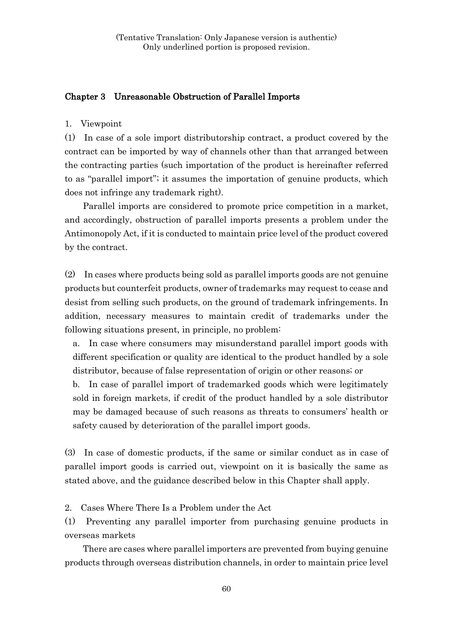# Chapter 3 Unreasonable Obstruction of Parallel Imports

#### 1. Viewpoint

(1) In case of a sole import distributorship contract, a product covered by the contract can be imported by way of channels other than that arranged between the contracting parties (such importation of the product is hereinafter referred to as "parallel import"; it assumes the importation of genuine products, which does not infringe any trademark right).

Parallel imports are considered to promote price competition in a market, and accordingly, obstruction of parallel imports presents a problem under the Antimonopoly Act, if it is conducted to maintain price level of the product covered by the contract.

(2) In cases where products being sold as parallel imports goods are not genuine products but counterfeit products, owner of trademarks may request to cease and desist from selling such products, on the ground of trademark infringements. In addition, necessary measures to maintain credit of trademarks under the following situations present, in principle, no problem:

a. In case where consumers may misunderstand parallel import goods with different specification or quality are identical to the product handled by a sole distributor, because of false representation of origin or other reasons; or

b. In case of parallel import of trademarked goods which were legitimately sold in foreign markets, if credit of the product handled by a sole distributor may be damaged because of such reasons as threats to consumers' health or safety caused by deterioration of the parallel import goods.

(3) In case of domestic products, if the same or similar conduct as in case of parallel import goods is carried out, viewpoint on it is basically the same as stated above, and the guidance described below in this Chapter shall apply.

2. Cases Where There Is a Problem under the Act

(1) Preventing any parallel importer from purchasing genuine products in overseas markets

There are cases where parallel importers are prevented from buying genuine products through overseas distribution channels, in order to maintain price level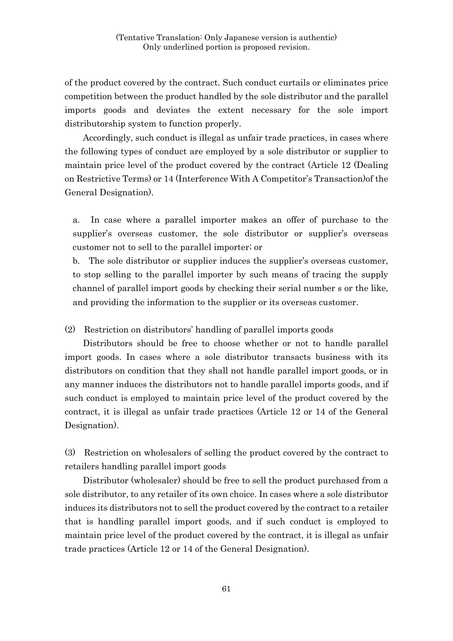of the product covered by the contract. Such conduct curtails or eliminates price competition between the product handled by the sole distributor and the parallel imports goods and deviates the extent necessary for the sole import distributorship system to function properly.

Accordingly, such conduct is illegal as unfair trade practices, in cases where the following types of conduct are employed by a sole distributor or supplier to maintain price level of the product covered by the contract (Article 12 (Dealing on Restrictive Terms) or 14 (Interference With A Competitor's Transaction)of the General Designation).

a. In case where a parallel importer makes an offer of purchase to the supplier's overseas customer, the sole distributor or supplier's overseas customer not to sell to the parallel importer; or

b. The sole distributor or supplier induces the supplier's overseas customer, to stop selling to the parallel importer by such means of tracing the supply channel of parallel import goods by checking their serial number s or the like, and providing the information to the supplier or its overseas customer.

(2) Restriction on distributors' handling of parallel imports goods

Distributors should be free to choose whether or not to handle parallel import goods. In cases where a sole distributor transacts business with its distributors on condition that they shall not handle parallel import goods, or in any manner induces the distributors not to handle parallel imports goods, and if such conduct is employed to maintain price level of the product covered by the contract, it is illegal as unfair trade practices (Article 12 or 14 of the General Designation).

(3) Restriction on wholesalers of selling the product covered by the contract to retailers handling parallel import goods

Distributor (wholesaler) should be free to sell the product purchased from a sole distributor, to any retailer of its own choice. In cases where a sole distributor induces its distributors not to sell the product covered by the contract to a retailer that is handling parallel import goods, and if such conduct is employed to maintain price level of the product covered by the contract, it is illegal as unfair trade practices (Article 12 or 14 of the General Designation).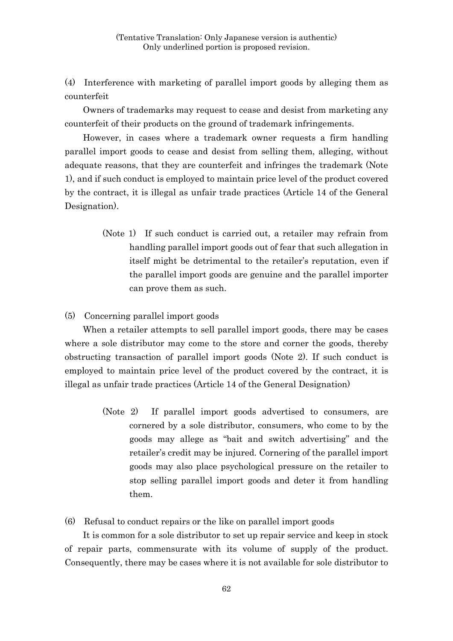(4) Interference with marketing of parallel import goods by alleging them as counterfeit

Owners of trademarks may request to cease and desist from marketing any counterfeit of their products on the ground of trademark infringements.

However, in cases where a trademark owner requests a firm handling parallel import goods to cease and desist from selling them, alleging, without adequate reasons, that they are counterfeit and infringes the trademark (Note 1), and if such conduct is employed to maintain price level of the product covered by the contract, it is illegal as unfair trade practices (Article 14 of the General Designation).

> (Note 1) If such conduct is carried out, a retailer may refrain from handling parallel import goods out of fear that such allegation in itself might be detrimental to the retailer's reputation, even if the parallel import goods are genuine and the parallel importer can prove them as such.

## (5) Concerning parallel import goods

When a retailer attempts to sell parallel import goods, there may be cases where a sole distributor may come to the store and corner the goods, thereby obstructing transaction of parallel import goods (Note 2). If such conduct is employed to maintain price level of the product covered by the contract, it is illegal as unfair trade practices (Article 14 of the General Designation)

> (Note 2) If parallel import goods advertised to consumers, are cornered by a sole distributor, consumers, who come to by the goods may allege as "bait and switch advertising" and the retailer's credit may be injured. Cornering of the parallel import goods may also place psychological pressure on the retailer to stop selling parallel import goods and deter it from handling them.

### (6) Refusal to conduct repairs or the like on parallel import goods

It is common for a sole distributor to set up repair service and keep in stock of repair parts, commensurate with its volume of supply of the product. Consequently, there may be cases where it is not available for sole distributor to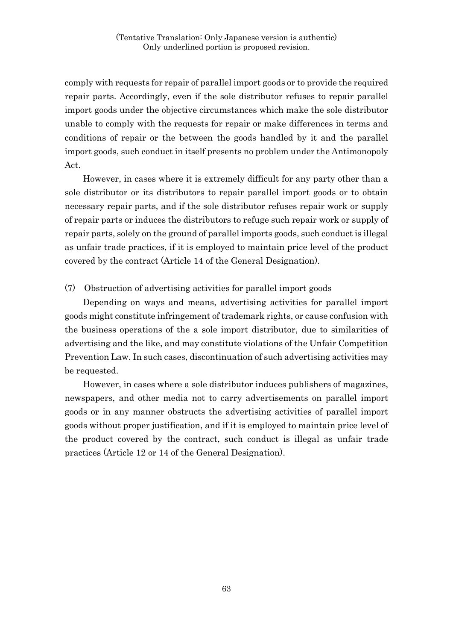comply with requests for repair of parallel import goods or to provide the required repair parts. Accordingly, even if the sole distributor refuses to repair parallel import goods under the objective circumstances which make the sole distributor unable to comply with the requests for repair or make differences in terms and conditions of repair or the between the goods handled by it and the parallel import goods, such conduct in itself presents no problem under the Antimonopoly Act.

However, in cases where it is extremely difficult for any party other than a sole distributor or its distributors to repair parallel import goods or to obtain necessary repair parts, and if the sole distributor refuses repair work or supply of repair parts or induces the distributors to refuge such repair work or supply of repair parts, solely on the ground of parallel imports goods, such conduct is illegal as unfair trade practices, if it is employed to maintain price level of the product covered by the contract (Article 14 of the General Designation).

#### (7) Obstruction of advertising activities for parallel import goods

Depending on ways and means, advertising activities for parallel import goods might constitute infringement of trademark rights, or cause confusion with the business operations of the a sole import distributor, due to similarities of advertising and the like, and may constitute violations of the Unfair Competition Prevention Law. In such cases, discontinuation of such advertising activities may be requested.

However, in cases where a sole distributor induces publishers of magazines, newspapers, and other media not to carry advertisements on parallel import goods or in any manner obstructs the advertising activities of parallel import goods without proper justification, and if it is employed to maintain price level of the product covered by the contract, such conduct is illegal as unfair trade practices (Article 12 or 14 of the General Designation).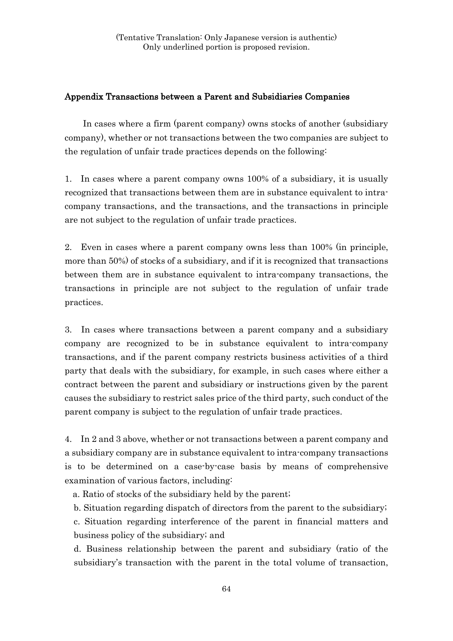# Appendix Transactions between a Parent and Subsidiaries Companies

In cases where a firm (parent company) owns stocks of another (subsidiary company), whether or not transactions between the two companies are subject to the regulation of unfair trade practices depends on the following:

1. In cases where a parent company owns 100% of a subsidiary, it is usually recognized that transactions between them are in substance equivalent to intracompany transactions, and the transactions, and the transactions in principle are not subject to the regulation of unfair trade practices.

2. Even in cases where a parent company owns less than 100% (in principle, more than 50%) of stocks of a subsidiary, and if it is recognized that transactions between them are in substance equivalent to intra-company transactions, the transactions in principle are not subject to the regulation of unfair trade practices.

3. In cases where transactions between a parent company and a subsidiary company are recognized to be in substance equivalent to intra-company transactions, and if the parent company restricts business activities of a third party that deals with the subsidiary, for example, in such cases where either a contract between the parent and subsidiary or instructions given by the parent causes the subsidiary to restrict sales price of the third party, such conduct of the parent company is subject to the regulation of unfair trade practices.

4. In 2 and 3 above, whether or not transactions between a parent company and a subsidiary company are in substance equivalent to intra-company transactions is to be determined on a case-by-case basis by means of comprehensive examination of various factors, including:

a. Ratio of stocks of the subsidiary held by the parent;

b. Situation regarding dispatch of directors from the parent to the subsidiary;

c. Situation regarding interference of the parent in financial matters and business policy of the subsidiary; and

d. Business relationship between the parent and subsidiary (ratio of the subsidiary's transaction with the parent in the total volume of transaction,